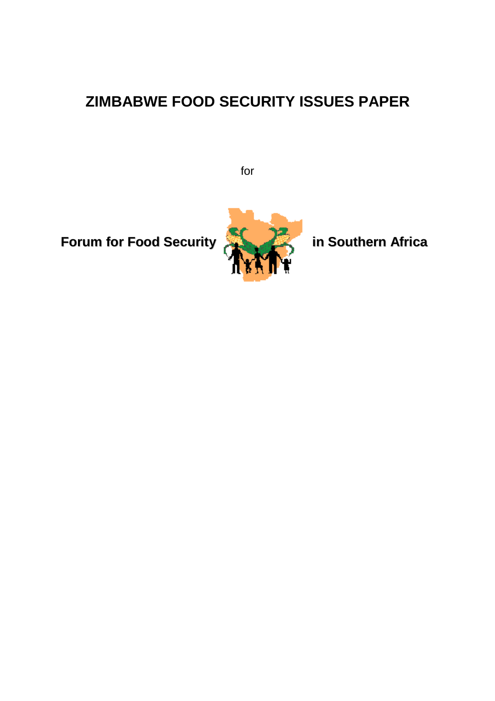# **ZIMBABWE FOOD SECURITY ISSUES PAPER**

for

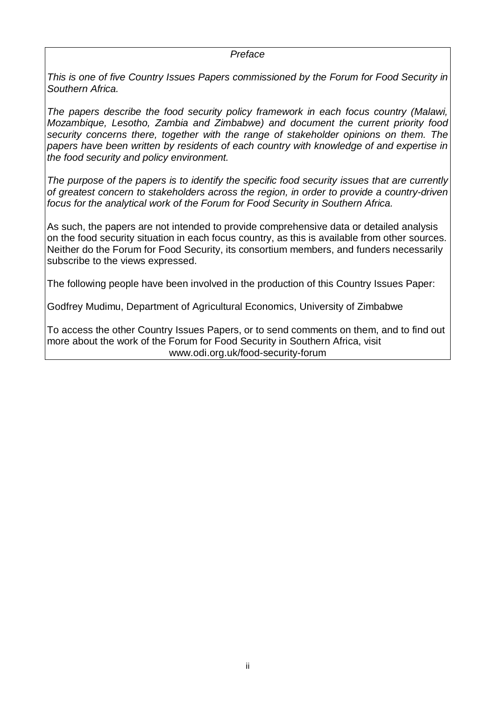#### *Preface*

*This is one of five Country Issues Papers commissioned by the Forum for Food Security in Southern Africa.* 

*The papers describe the food security policy framework in each focus country (Malawi, Mozambique, Lesotho, Zambia and Zimbabwe) and document the current priority food security concerns there, together with the range of stakeholder opinions on them. The papers have been written by residents of each country with knowledge of and expertise in the food security and policy environment.* 

*The purpose of the papers is to identify the specific food security issues that are currently of greatest concern to stakeholders across the region, in order to provide a country-driven focus for the analytical work of the Forum for Food Security in Southern Africa.* 

As such, the papers are not intended to provide comprehensive data or detailed analysis on the food security situation in each focus country, as this is available from other sources. Neither do the Forum for Food Security, its consortium members, and funders necessarily subscribe to the views expressed.

The following people have been involved in the production of this Country Issues Paper:

Godfrey Mudimu, Department of Agricultural Economics, University of Zimbabwe

To access the other Country Issues Papers, or to send comments on them, and to find out more about the work of the Forum for Food Security in Southern Africa, visit www.odi.org.uk/food-security-forum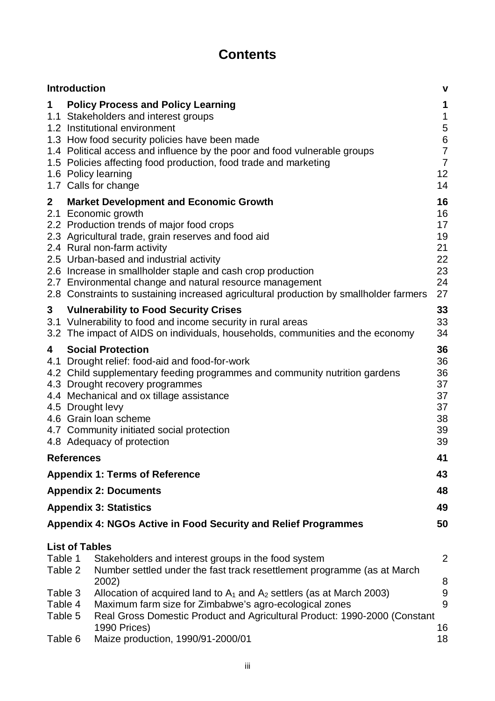# **Contents**

|                               | <b>Introduction</b>                                                                                                                                                                                                                                                                                                                                                                                                                                                 |                                                                                                                                                                                                                                                                                                                                                                     | $\mathbf v$                                                                                                |  |  |  |
|-------------------------------|---------------------------------------------------------------------------------------------------------------------------------------------------------------------------------------------------------------------------------------------------------------------------------------------------------------------------------------------------------------------------------------------------------------------------------------------------------------------|---------------------------------------------------------------------------------------------------------------------------------------------------------------------------------------------------------------------------------------------------------------------------------------------------------------------------------------------------------------------|------------------------------------------------------------------------------------------------------------|--|--|--|
| $\mathbf 1$                   |                                                                                                                                                                                                                                                                                                                                                                                                                                                                     | <b>Policy Process and Policy Learning</b><br>1.1 Stakeholders and interest groups<br>1.2 Institutional environment<br>1.3 How food security policies have been made<br>1.4 Political access and influence by the poor and food vulnerable groups<br>1.5 Policies affecting food production, food trade and marketing<br>1.6 Policy learning<br>1.7 Calls for change | 1<br>$\mathbf{1}$<br>$\begin{array}{c} 5 \\ 6 \end{array}$<br>$\overline{7}$<br>$\overline{7}$<br>12<br>14 |  |  |  |
| $\mathbf{2}$<br>2.1           | <b>Market Development and Economic Growth</b><br>Economic growth<br>2.2 Production trends of major food crops<br>2.3 Agricultural trade, grain reserves and food aid<br>2.4 Rural non-farm activity<br>2.5 Urban-based and industrial activity<br>2.6 Increase in smallholder staple and cash crop production<br>2.7 Environmental change and natural resource management<br>2.8 Constraints to sustaining increased agricultural production by smallholder farmers |                                                                                                                                                                                                                                                                                                                                                                     |                                                                                                            |  |  |  |
| 3                             | <b>Vulnerability to Food Security Crises</b><br>3.1 Vulnerability to food and income security in rural areas<br>3.2 The impact of AIDS on individuals, households, communities and the economy                                                                                                                                                                                                                                                                      |                                                                                                                                                                                                                                                                                                                                                                     |                                                                                                            |  |  |  |
| 4<br>4.1                      | 34<br>36<br><b>Social Protection</b><br>36<br>Drought relief: food-aid and food-for-work<br>36<br>4.2 Child supplementary feeding programmes and community nutrition gardens<br>37<br>4.3 Drought recovery programmes<br>37<br>4.4 Mechanical and ox tillage assistance<br>37<br>4.5 Drought levy<br>4.6 Grain loan scheme<br>38<br>39<br>4.7 Community initiated social protection<br>39<br>4.8 Adequacy of protection                                             |                                                                                                                                                                                                                                                                                                                                                                     |                                                                                                            |  |  |  |
|                               | <b>References</b>                                                                                                                                                                                                                                                                                                                                                                                                                                                   |                                                                                                                                                                                                                                                                                                                                                                     | 41                                                                                                         |  |  |  |
|                               |                                                                                                                                                                                                                                                                                                                                                                                                                                                                     | <b>Appendix 1: Terms of Reference</b>                                                                                                                                                                                                                                                                                                                               | 43                                                                                                         |  |  |  |
|                               |                                                                                                                                                                                                                                                                                                                                                                                                                                                                     | <b>Appendix 2: Documents</b>                                                                                                                                                                                                                                                                                                                                        | 48                                                                                                         |  |  |  |
|                               |                                                                                                                                                                                                                                                                                                                                                                                                                                                                     | <b>Appendix 3: Statistics</b>                                                                                                                                                                                                                                                                                                                                       | 49                                                                                                         |  |  |  |
|                               |                                                                                                                                                                                                                                                                                                                                                                                                                                                                     | <b>Appendix 4: NGOs Active in Food Security and Relief Programmes</b>                                                                                                                                                                                                                                                                                               | 50                                                                                                         |  |  |  |
| Table 1<br>Table 2<br>Table 3 | <b>List of Tables</b>                                                                                                                                                                                                                                                                                                                                                                                                                                               | Stakeholders and interest groups in the food system<br>Number settled under the fast track resettlement programme (as at March<br>2002)<br>Allocation of acquired land to $A_1$ and $A_2$ settlers (as at March 2003)                                                                                                                                               | 2<br>8<br>$9$                                                                                              |  |  |  |
| Table 4<br>Table 5            |                                                                                                                                                                                                                                                                                                                                                                                                                                                                     | Maximum farm size for Zimbabwe's agro-ecological zones<br>Real Gross Domestic Product and Agricultural Product: 1990-2000 (Constant<br>1990 Prices)                                                                                                                                                                                                                 | 9<br>16                                                                                                    |  |  |  |
| Table 6                       |                                                                                                                                                                                                                                                                                                                                                                                                                                                                     | Maize production, 1990/91-2000/01                                                                                                                                                                                                                                                                                                                                   | 18                                                                                                         |  |  |  |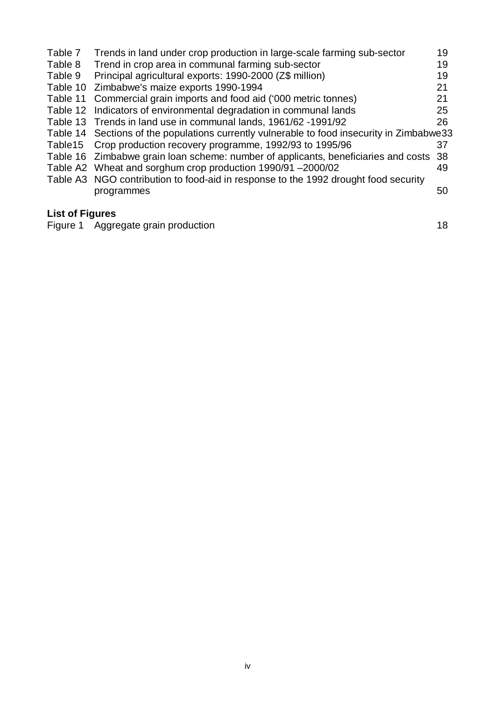| Trends in land under crop production in large-scale farming sub-sector | 19                                                                                                                                                                                                                                                                                                                                                                                                                                                                                          |
|------------------------------------------------------------------------|---------------------------------------------------------------------------------------------------------------------------------------------------------------------------------------------------------------------------------------------------------------------------------------------------------------------------------------------------------------------------------------------------------------------------------------------------------------------------------------------|
| Trend in crop area in communal farming sub-sector                      | 19                                                                                                                                                                                                                                                                                                                                                                                                                                                                                          |
| Principal agricultural exports: 1990-2000 (Z\$ million)                | 19                                                                                                                                                                                                                                                                                                                                                                                                                                                                                          |
| Zimbabwe's maize exports 1990-1994                                     | 21                                                                                                                                                                                                                                                                                                                                                                                                                                                                                          |
| Commercial grain imports and food aid ('000 metric tonnes)             | 21                                                                                                                                                                                                                                                                                                                                                                                                                                                                                          |
|                                                                        | 25                                                                                                                                                                                                                                                                                                                                                                                                                                                                                          |
|                                                                        | 26                                                                                                                                                                                                                                                                                                                                                                                                                                                                                          |
|                                                                        |                                                                                                                                                                                                                                                                                                                                                                                                                                                                                             |
| Crop production recovery programme, 1992/93 to 1995/96                 | 37                                                                                                                                                                                                                                                                                                                                                                                                                                                                                          |
|                                                                        | 38                                                                                                                                                                                                                                                                                                                                                                                                                                                                                          |
|                                                                        | 49                                                                                                                                                                                                                                                                                                                                                                                                                                                                                          |
|                                                                        |                                                                                                                                                                                                                                                                                                                                                                                                                                                                                             |
| programmes                                                             | 50                                                                                                                                                                                                                                                                                                                                                                                                                                                                                          |
|                                                                        |                                                                                                                                                                                                                                                                                                                                                                                                                                                                                             |
| Table 10                                                               | Table 11<br>Table 12 Indicators of environmental degradation in communal lands<br>Table 13 Trends in land use in communal lands, 1961/62 -1991/92<br>Table 14 Sections of the populations currently vulnerable to food insecurity in Zimbabwe33<br>Table 16 Zimbabwe grain loan scheme: number of applicants, beneficiaries and costs<br>Table A2 Wheat and sorghum crop production 1990/91 -2000/02<br>Table A3 NGO contribution to food-aid in response to the 1992 drought food security |

#### **List of Figures**

Figure 1 Aggregate grain production and the state of the state of the 18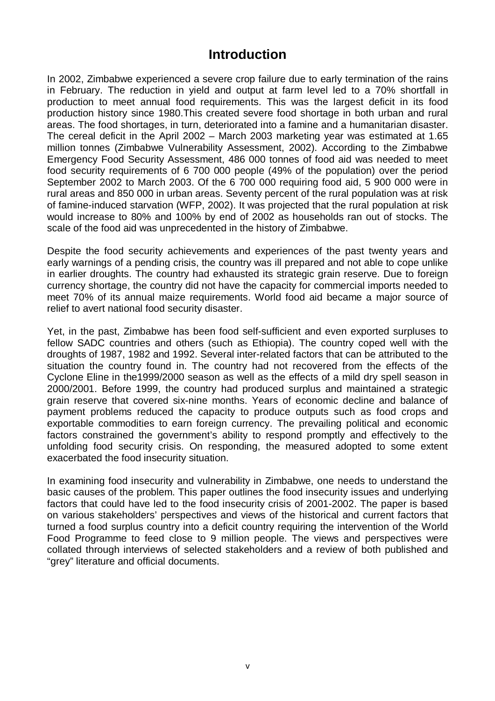# **Introduction**

In 2002, Zimbabwe experienced a severe crop failure due to early termination of the rains in February. The reduction in yield and output at farm level led to a 70% shortfall in production to meet annual food requirements. This was the largest deficit in its food production history since 1980.This created severe food shortage in both urban and rural areas. The food shortages, in turn, deteriorated into a famine and a humanitarian disaster. The cereal deficit in the April 2002 – March 2003 marketing year was estimated at 1.65 million tonnes (Zimbabwe Vulnerability Assessment, 2002). According to the Zimbabwe Emergency Food Security Assessment, 486 000 tonnes of food aid was needed to meet food security requirements of 6 700 000 people (49% of the population) over the period September 2002 to March 2003. Of the 6 700 000 requiring food aid, 5 900 000 were in rural areas and 850 000 in urban areas. Seventy percent of the rural population was at risk of famine-induced starvation (WFP, 2002). It was projected that the rural population at risk would increase to 80% and 100% by end of 2002 as households ran out of stocks. The scale of the food aid was unprecedented in the history of Zimbabwe.

Despite the food security achievements and experiences of the past twenty years and early warnings of a pending crisis, the country was ill prepared and not able to cope unlike in earlier droughts. The country had exhausted its strategic grain reserve. Due to foreign currency shortage, the country did not have the capacity for commercial imports needed to meet 70% of its annual maize requirements. World food aid became a major source of relief to avert national food security disaster.

Yet, in the past, Zimbabwe has been food self-sufficient and even exported surpluses to fellow SADC countries and others (such as Ethiopia). The country coped well with the droughts of 1987, 1982 and 1992. Several inter-related factors that can be attributed to the situation the country found in. The country had not recovered from the effects of the Cyclone Eline in the1999/2000 season as well as the effects of a mild dry spell season in 2000/2001. Before 1999, the country had produced surplus and maintained a strategic grain reserve that covered six-nine months. Years of economic decline and balance of payment problems reduced the capacity to produce outputs such as food crops and exportable commodities to earn foreign currency. The prevailing political and economic factors constrained the government's ability to respond promptly and effectively to the unfolding food security crisis. On responding, the measured adopted to some extent exacerbated the food insecurity situation.

In examining food insecurity and vulnerability in Zimbabwe, one needs to understand the basic causes of the problem. This paper outlines the food insecurity issues and underlying factors that could have led to the food insecurity crisis of 2001-2002. The paper is based on various stakeholders' perspectives and views of the historical and current factors that turned a food surplus country into a deficit country requiring the intervention of the World Food Programme to feed close to 9 million people. The views and perspectives were collated through interviews of selected stakeholders and a review of both published and "grey" literature and official documents.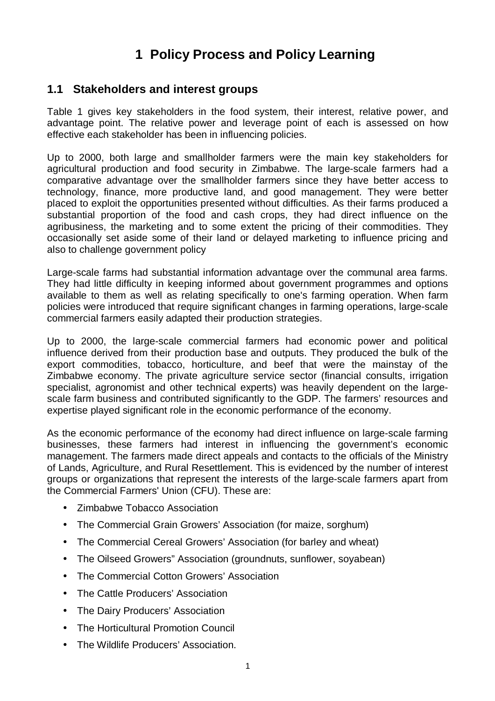# **1 Policy Process and Policy Learning**

#### **1.1 Stakeholders and interest groups**

Table 1 gives key stakeholders in the food system, their interest, relative power, and advantage point. The relative power and leverage point of each is assessed on how effective each stakeholder has been in influencing policies.

Up to 2000, both large and smallholder farmers were the main key stakeholders for agricultural production and food security in Zimbabwe. The large-scale farmers had a comparative advantage over the smallholder farmers since they have better access to technology, finance, more productive land, and good management. They were better placed to exploit the opportunities presented without difficulties. As their farms produced a substantial proportion of the food and cash crops, they had direct influence on the agribusiness, the marketing and to some extent the pricing of their commodities. They occasionally set aside some of their land or delayed marketing to influence pricing and also to challenge government policy

Large-scale farms had substantial information advantage over the communal area farms. They had little difficulty in keeping informed about government programmes and options available to them as well as relating specifically to one's farming operation. When farm policies were introduced that require significant changes in farming operations, large-scale commercial farmers easily adapted their production strategies.

Up to 2000, the large-scale commercial farmers had economic power and political influence derived from their production base and outputs. They produced the bulk of the export commodities, tobacco, horticulture, and beef that were the mainstay of the Zimbabwe economy. The private agriculture service sector (financial consults, irrigation specialist, agronomist and other technical experts) was heavily dependent on the largescale farm business and contributed significantly to the GDP. The farmers' resources and expertise played significant role in the economic performance of the economy.

As the economic performance of the economy had direct influence on large-scale farming businesses, these farmers had interest in influencing the government's economic management. The farmers made direct appeals and contacts to the officials of the Ministry of Lands, Agriculture, and Rural Resettlement. This is evidenced by the number of interest groups or organizations that represent the interests of the large-scale farmers apart from the Commercial Farmers' Union (CFU). These are:

- Zimbabwe Tobacco Association
- The Commercial Grain Growers' Association (for maize, sorghum)
- The Commercial Cereal Growers' Association (for barley and wheat)
- The Oilseed Growers" Association (groundnuts, sunflower, soyabean)
- The Commercial Cotton Growers' Association
- The Cattle Producers' Association
- The Dairy Producers' Association
- The Horticultural Promotion Council
- The Wildlife Producers' Association.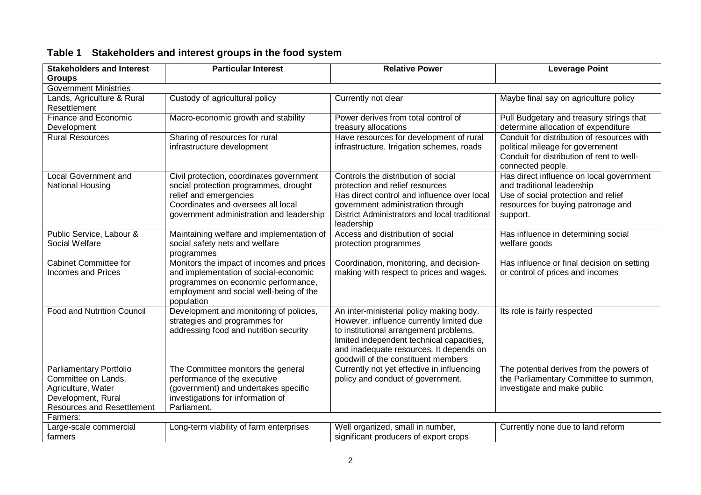| <b>Stakeholders and Interest</b>                                                                                                | <b>Particular Interest</b>                                                                                                                                                                    | <b>Relative Power</b>                                                                                                                                                                                                                                         | <b>Leverage Point</b>                                                                                                                                           |  |  |  |  |  |  |
|---------------------------------------------------------------------------------------------------------------------------------|-----------------------------------------------------------------------------------------------------------------------------------------------------------------------------------------------|---------------------------------------------------------------------------------------------------------------------------------------------------------------------------------------------------------------------------------------------------------------|-----------------------------------------------------------------------------------------------------------------------------------------------------------------|--|--|--|--|--|--|
| <b>Groups</b>                                                                                                                   |                                                                                                                                                                                               |                                                                                                                                                                                                                                                               |                                                                                                                                                                 |  |  |  |  |  |  |
| <b>Government Ministries</b>                                                                                                    |                                                                                                                                                                                               |                                                                                                                                                                                                                                                               |                                                                                                                                                                 |  |  |  |  |  |  |
| Lands, Agriculture & Rural<br>Resettlement                                                                                      | Custody of agricultural policy                                                                                                                                                                | Currently not clear                                                                                                                                                                                                                                           | Maybe final say on agriculture policy                                                                                                                           |  |  |  |  |  |  |
| Finance and Economic<br>Development                                                                                             | Macro-economic growth and stability                                                                                                                                                           | Power derives from total control of<br>treasury allocations                                                                                                                                                                                                   | Pull Budgetary and treasury strings that<br>determine allocation of expenditure                                                                                 |  |  |  |  |  |  |
| <b>Rural Resources</b>                                                                                                          | Sharing of resources for rural<br>infrastructure development                                                                                                                                  | Have resources for development of rural<br>infrastructure. Irrigation schemes, roads                                                                                                                                                                          | Conduit for distribution of resources with<br>political mileage for government<br>Conduit for distribution of rent to well-<br>connected people.                |  |  |  |  |  |  |
| Local Government and<br>National Housing                                                                                        | Civil protection, coordinates government<br>social protection programmes, drought<br>relief and emergencies<br>Coordinates and oversees all local<br>government administration and leadership | Controls the distribution of social<br>protection and relief resources<br>Has direct control and influence over local<br>government administration through<br>District Administrators and local traditional<br>leadership                                     | Has direct influence on local government<br>and traditional leadership<br>Use of social protection and relief<br>resources for buying patronage and<br>support. |  |  |  |  |  |  |
| Public Service, Labour &<br>Social Welfare                                                                                      | Maintaining welfare and implementation of<br>social safety nets and welfare<br>programmes                                                                                                     | Access and distribution of social<br>protection programmes                                                                                                                                                                                                    | Has influence in determining social<br>welfare goods                                                                                                            |  |  |  |  |  |  |
| <b>Cabinet Committee for</b><br><b>Incomes and Prices</b>                                                                       | Monitors the impact of incomes and prices<br>and implementation of social-economic<br>programmes on economic performance,<br>employment and social well-being of the<br>population            | Coordination, monitoring, and decision-<br>making with respect to prices and wages.                                                                                                                                                                           | Has influence or final decision on setting<br>or control of prices and incomes                                                                                  |  |  |  |  |  |  |
| <b>Food and Nutrition Council</b>                                                                                               | Development and monitoring of policies,<br>strategies and programmes for<br>addressing food and nutrition security                                                                            | An inter-ministerial policy making body.<br>However, influence currently limited due<br>to institutional arrangement problems,<br>limited independent technical capacities,<br>and inadequate resources. It depends on<br>goodwill of the constituent members | Its role is fairly respected                                                                                                                                    |  |  |  |  |  |  |
| Parliamentary Portfolio<br>Committee on Lands,<br>Agriculture, Water<br>Development, Rural<br><b>Resources and Resettlement</b> | The Committee monitors the general<br>performance of the executive<br>(government) and undertakes specific<br>investigations for information of<br>Parliament.                                | Currently not yet effective in influencing<br>policy and conduct of government.                                                                                                                                                                               | The potential derives from the powers of<br>the Parliamentary Committee to summon,<br>investigate and make public                                               |  |  |  |  |  |  |
| Farmers:                                                                                                                        |                                                                                                                                                                                               |                                                                                                                                                                                                                                                               |                                                                                                                                                                 |  |  |  |  |  |  |
| Large-scale commercial<br>farmers                                                                                               | Long-term viability of farm enterprises                                                                                                                                                       | Well organized, small in number,<br>significant producers of export crops                                                                                                                                                                                     | Currently none due to land reform                                                                                                                               |  |  |  |  |  |  |

# **Table 1 Stakeholders and interest groups in the food system**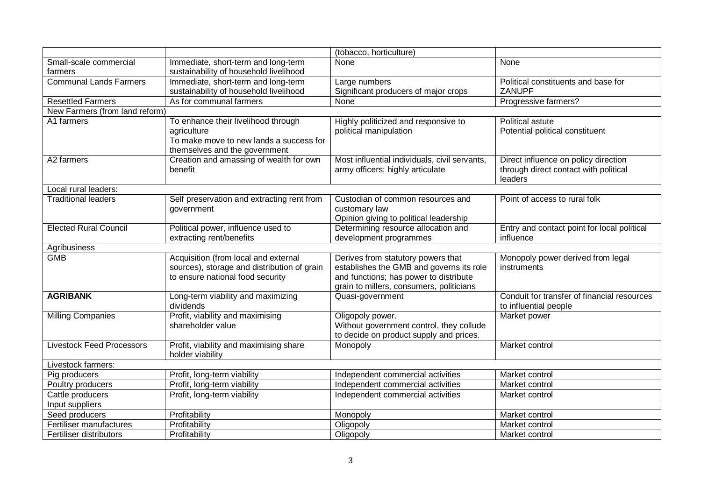|                                  |                                             | (tobacco, horticulture)                       |                                             |
|----------------------------------|---------------------------------------------|-----------------------------------------------|---------------------------------------------|
| Small-scale commercial           | Immediate, short-term and long-term         | None                                          | None                                        |
| farmers                          | sustainability of household livelihood      |                                               |                                             |
| <b>Communal Lands Farmers</b>    | Immediate, short-term and long-term         | Large numbers                                 | Political constituents and base for         |
|                                  | sustainability of household livelihood      | Significant producers of major crops          | ZANUPF                                      |
| <b>Resettled Farmers</b>         | As for communal farmers                     | None                                          | Progressive farmers?                        |
| New Farmers (from land reform)   |                                             |                                               |                                             |
| A1 farmers                       | To enhance their livelihood through         | Highly politicized and responsive to          | Political astute                            |
|                                  | agriculture                                 | political manipulation                        | Potential political constituent             |
|                                  | To make move to new lands a success for     |                                               |                                             |
|                                  | themselves and the government               |                                               |                                             |
| A2 farmers                       | Creation and amassing of wealth for own     | Most influential individuals, civil servants, | Direct influence on policy direction        |
|                                  | benefit                                     | army officers; highly articulate              | through direct contact with political       |
|                                  |                                             |                                               | leaders                                     |
| Local rural leaders:             |                                             |                                               |                                             |
| <b>Traditional leaders</b>       | Self preservation and extracting rent from  | Custodian of common resources and             | Point of access to rural folk               |
|                                  | government                                  | customary law                                 |                                             |
|                                  |                                             | Opinion giving to political leadership        |                                             |
| <b>Elected Rural Council</b>     | Political power, influence used to          | Determining resource allocation and           | Entry and contact point for local political |
|                                  | extracting rent/benefits                    | development programmes                        | influence                                   |
| Agribusiness                     |                                             |                                               |                                             |
| <b>GMB</b>                       | Acquisition (from local and external        | Derives from statutory powers that            | Monopoly power derived from legal           |
|                                  | sources), storage and distribution of grain | establishes the GMB and governs its role      | instruments                                 |
|                                  | to ensure national food security            | and functions; has power to distribute        |                                             |
|                                  |                                             | grain to millers, consumers, politicians      |                                             |
| <b>AGRIBANK</b>                  | Long-term viability and maximizing          | Quasi-government                              | Conduit for transfer of financial resources |
|                                  | dividends                                   |                                               | to influential people                       |
| <b>Milling Companies</b>         | Profit, viability and maximising            | Oligopoly power.                              | Market power                                |
|                                  | shareholder value                           | Without government control, they collude      |                                             |
|                                  |                                             |                                               |                                             |
| <b>Livestock Feed Processors</b> |                                             | to decide on product supply and prices.       |                                             |
|                                  | Profit, viability and maximising share      | Monopoly                                      | Market control                              |
|                                  | holder viability                            |                                               |                                             |
| Livestock farmers:               |                                             |                                               |                                             |
| Pig producers                    | Profit, long-term viability                 | Independent commercial activities             | Market control                              |
| Poultry producers                | Profit, long-term viability                 | Independent commercial activities             | Market control                              |
| Cattle producers                 | Profit, long-term viability                 | Independent commercial activities             | Market control                              |
| Input suppliers                  |                                             |                                               |                                             |
| Seed producers                   | Profitability                               | Monopoly                                      | Market control                              |
| Fertiliser manufactures          | Profitability<br>Profitability              | Oligopoly<br>Oligopoly                        | Market control                              |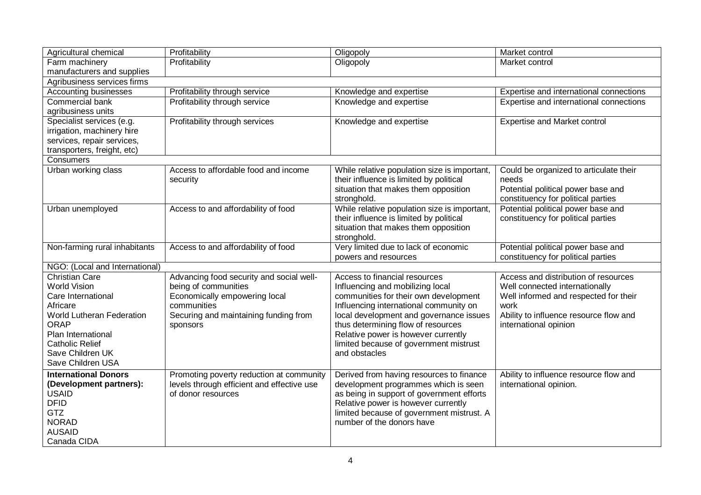| Profitability<br>Oligopoly<br>Farm machinery<br>Market control<br>manufacturers and supplies<br>Agribusiness services firms<br><b>Accounting businesses</b><br>Profitability through service<br>Knowledge and expertise<br>Expertise and international connections<br>Commercial bank<br>Profitability through service<br>Knowledge and expertise<br>Expertise and international connections<br>agribusiness units<br>Profitability through services<br>Knowledge and expertise<br><b>Expertise and Market control</b><br>Specialist services (e.g.<br>irrigation, machinery hire<br>services, repair services,<br>transporters, freight, etc)<br>Consumers<br>Urban working class<br>Access to affordable food and income<br>While relative population size is important,<br>Could be organized to articulate their<br>their influence is limited by political<br>needs<br>security<br>situation that makes them opposition<br>Potential political power base and<br>constituency for political parties<br>stronghold.<br>While relative population size is important,<br>Potential political power base and<br>Urban unemployed<br>Access to and affordability of food<br>their influence is limited by political<br>constituency for political parties<br>situation that makes them opposition<br>stronghold.<br>Non-farming rural inhabitants<br>Access to and affordability of food<br>Very limited due to lack of economic<br>Potential political power base and<br>constituency for political parties<br>powers and resources<br>NGO: (Local and International)<br><b>Christian Care</b><br>Advancing food security and social well-<br>Access to financial resources<br>Access and distribution of resources<br>being of communities<br><b>World Vision</b><br>Influencing and mobilizing local<br>Well connected internationally |                       |               |           |                |  |  |  |  |  |
|-------------------------------------------------------------------------------------------------------------------------------------------------------------------------------------------------------------------------------------------------------------------------------------------------------------------------------------------------------------------------------------------------------------------------------------------------------------------------------------------------------------------------------------------------------------------------------------------------------------------------------------------------------------------------------------------------------------------------------------------------------------------------------------------------------------------------------------------------------------------------------------------------------------------------------------------------------------------------------------------------------------------------------------------------------------------------------------------------------------------------------------------------------------------------------------------------------------------------------------------------------------------------------------------------------------------------------------------------------------------------------------------------------------------------------------------------------------------------------------------------------------------------------------------------------------------------------------------------------------------------------------------------------------------------------------------------------------------------------------------------------------------------------------------------------------------------------------------|-----------------------|---------------|-----------|----------------|--|--|--|--|--|
|                                                                                                                                                                                                                                                                                                                                                                                                                                                                                                                                                                                                                                                                                                                                                                                                                                                                                                                                                                                                                                                                                                                                                                                                                                                                                                                                                                                                                                                                                                                                                                                                                                                                                                                                                                                                                                           | Agricultural chemical | Profitability | Oligopoly | Market control |  |  |  |  |  |
|                                                                                                                                                                                                                                                                                                                                                                                                                                                                                                                                                                                                                                                                                                                                                                                                                                                                                                                                                                                                                                                                                                                                                                                                                                                                                                                                                                                                                                                                                                                                                                                                                                                                                                                                                                                                                                           |                       |               |           |                |  |  |  |  |  |
|                                                                                                                                                                                                                                                                                                                                                                                                                                                                                                                                                                                                                                                                                                                                                                                                                                                                                                                                                                                                                                                                                                                                                                                                                                                                                                                                                                                                                                                                                                                                                                                                                                                                                                                                                                                                                                           |                       |               |           |                |  |  |  |  |  |
|                                                                                                                                                                                                                                                                                                                                                                                                                                                                                                                                                                                                                                                                                                                                                                                                                                                                                                                                                                                                                                                                                                                                                                                                                                                                                                                                                                                                                                                                                                                                                                                                                                                                                                                                                                                                                                           |                       |               |           |                |  |  |  |  |  |
|                                                                                                                                                                                                                                                                                                                                                                                                                                                                                                                                                                                                                                                                                                                                                                                                                                                                                                                                                                                                                                                                                                                                                                                                                                                                                                                                                                                                                                                                                                                                                                                                                                                                                                                                                                                                                                           |                       |               |           |                |  |  |  |  |  |
|                                                                                                                                                                                                                                                                                                                                                                                                                                                                                                                                                                                                                                                                                                                                                                                                                                                                                                                                                                                                                                                                                                                                                                                                                                                                                                                                                                                                                                                                                                                                                                                                                                                                                                                                                                                                                                           |                       |               |           |                |  |  |  |  |  |
|                                                                                                                                                                                                                                                                                                                                                                                                                                                                                                                                                                                                                                                                                                                                                                                                                                                                                                                                                                                                                                                                                                                                                                                                                                                                                                                                                                                                                                                                                                                                                                                                                                                                                                                                                                                                                                           |                       |               |           |                |  |  |  |  |  |
|                                                                                                                                                                                                                                                                                                                                                                                                                                                                                                                                                                                                                                                                                                                                                                                                                                                                                                                                                                                                                                                                                                                                                                                                                                                                                                                                                                                                                                                                                                                                                                                                                                                                                                                                                                                                                                           |                       |               |           |                |  |  |  |  |  |
|                                                                                                                                                                                                                                                                                                                                                                                                                                                                                                                                                                                                                                                                                                                                                                                                                                                                                                                                                                                                                                                                                                                                                                                                                                                                                                                                                                                                                                                                                                                                                                                                                                                                                                                                                                                                                                           |                       |               |           |                |  |  |  |  |  |
|                                                                                                                                                                                                                                                                                                                                                                                                                                                                                                                                                                                                                                                                                                                                                                                                                                                                                                                                                                                                                                                                                                                                                                                                                                                                                                                                                                                                                                                                                                                                                                                                                                                                                                                                                                                                                                           |                       |               |           |                |  |  |  |  |  |
|                                                                                                                                                                                                                                                                                                                                                                                                                                                                                                                                                                                                                                                                                                                                                                                                                                                                                                                                                                                                                                                                                                                                                                                                                                                                                                                                                                                                                                                                                                                                                                                                                                                                                                                                                                                                                                           |                       |               |           |                |  |  |  |  |  |
|                                                                                                                                                                                                                                                                                                                                                                                                                                                                                                                                                                                                                                                                                                                                                                                                                                                                                                                                                                                                                                                                                                                                                                                                                                                                                                                                                                                                                                                                                                                                                                                                                                                                                                                                                                                                                                           |                       |               |           |                |  |  |  |  |  |
|                                                                                                                                                                                                                                                                                                                                                                                                                                                                                                                                                                                                                                                                                                                                                                                                                                                                                                                                                                                                                                                                                                                                                                                                                                                                                                                                                                                                                                                                                                                                                                                                                                                                                                                                                                                                                                           |                       |               |           |                |  |  |  |  |  |
|                                                                                                                                                                                                                                                                                                                                                                                                                                                                                                                                                                                                                                                                                                                                                                                                                                                                                                                                                                                                                                                                                                                                                                                                                                                                                                                                                                                                                                                                                                                                                                                                                                                                                                                                                                                                                                           |                       |               |           |                |  |  |  |  |  |
|                                                                                                                                                                                                                                                                                                                                                                                                                                                                                                                                                                                                                                                                                                                                                                                                                                                                                                                                                                                                                                                                                                                                                                                                                                                                                                                                                                                                                                                                                                                                                                                                                                                                                                                                                                                                                                           |                       |               |           |                |  |  |  |  |  |
|                                                                                                                                                                                                                                                                                                                                                                                                                                                                                                                                                                                                                                                                                                                                                                                                                                                                                                                                                                                                                                                                                                                                                                                                                                                                                                                                                                                                                                                                                                                                                                                                                                                                                                                                                                                                                                           |                       |               |           |                |  |  |  |  |  |
|                                                                                                                                                                                                                                                                                                                                                                                                                                                                                                                                                                                                                                                                                                                                                                                                                                                                                                                                                                                                                                                                                                                                                                                                                                                                                                                                                                                                                                                                                                                                                                                                                                                                                                                                                                                                                                           |                       |               |           |                |  |  |  |  |  |
|                                                                                                                                                                                                                                                                                                                                                                                                                                                                                                                                                                                                                                                                                                                                                                                                                                                                                                                                                                                                                                                                                                                                                                                                                                                                                                                                                                                                                                                                                                                                                                                                                                                                                                                                                                                                                                           |                       |               |           |                |  |  |  |  |  |
|                                                                                                                                                                                                                                                                                                                                                                                                                                                                                                                                                                                                                                                                                                                                                                                                                                                                                                                                                                                                                                                                                                                                                                                                                                                                                                                                                                                                                                                                                                                                                                                                                                                                                                                                                                                                                                           |                       |               |           |                |  |  |  |  |  |
|                                                                                                                                                                                                                                                                                                                                                                                                                                                                                                                                                                                                                                                                                                                                                                                                                                                                                                                                                                                                                                                                                                                                                                                                                                                                                                                                                                                                                                                                                                                                                                                                                                                                                                                                                                                                                                           |                       |               |           |                |  |  |  |  |  |
|                                                                                                                                                                                                                                                                                                                                                                                                                                                                                                                                                                                                                                                                                                                                                                                                                                                                                                                                                                                                                                                                                                                                                                                                                                                                                                                                                                                                                                                                                                                                                                                                                                                                                                                                                                                                                                           |                       |               |           |                |  |  |  |  |  |
|                                                                                                                                                                                                                                                                                                                                                                                                                                                                                                                                                                                                                                                                                                                                                                                                                                                                                                                                                                                                                                                                                                                                                                                                                                                                                                                                                                                                                                                                                                                                                                                                                                                                                                                                                                                                                                           |                       |               |           |                |  |  |  |  |  |
|                                                                                                                                                                                                                                                                                                                                                                                                                                                                                                                                                                                                                                                                                                                                                                                                                                                                                                                                                                                                                                                                                                                                                                                                                                                                                                                                                                                                                                                                                                                                                                                                                                                                                                                                                                                                                                           |                       |               |           |                |  |  |  |  |  |
|                                                                                                                                                                                                                                                                                                                                                                                                                                                                                                                                                                                                                                                                                                                                                                                                                                                                                                                                                                                                                                                                                                                                                                                                                                                                                                                                                                                                                                                                                                                                                                                                                                                                                                                                                                                                                                           |                       |               |           |                |  |  |  |  |  |
|                                                                                                                                                                                                                                                                                                                                                                                                                                                                                                                                                                                                                                                                                                                                                                                                                                                                                                                                                                                                                                                                                                                                                                                                                                                                                                                                                                                                                                                                                                                                                                                                                                                                                                                                                                                                                                           |                       |               |           |                |  |  |  |  |  |
| Economically empowering local<br>communities for their own development<br>Well informed and respected for their<br>Care International<br>Africare<br>communities<br>work                                                                                                                                                                                                                                                                                                                                                                                                                                                                                                                                                                                                                                                                                                                                                                                                                                                                                                                                                                                                                                                                                                                                                                                                                                                                                                                                                                                                                                                                                                                                                                                                                                                                  |                       |               |           |                |  |  |  |  |  |
| Influencing international community on<br>local development and governance issues<br>Ability to influence resource flow and<br>World Lutheran Federation                                                                                                                                                                                                                                                                                                                                                                                                                                                                                                                                                                                                                                                                                                                                                                                                                                                                                                                                                                                                                                                                                                                                                                                                                                                                                                                                                                                                                                                                                                                                                                                                                                                                                  |                       |               |           |                |  |  |  |  |  |
| Securing and maintaining funding from<br>thus determining flow of resources<br><b>ORAP</b><br>international opinion                                                                                                                                                                                                                                                                                                                                                                                                                                                                                                                                                                                                                                                                                                                                                                                                                                                                                                                                                                                                                                                                                                                                                                                                                                                                                                                                                                                                                                                                                                                                                                                                                                                                                                                       |                       |               |           |                |  |  |  |  |  |
| sponsors<br>Relative power is however currently<br>Plan International                                                                                                                                                                                                                                                                                                                                                                                                                                                                                                                                                                                                                                                                                                                                                                                                                                                                                                                                                                                                                                                                                                                                                                                                                                                                                                                                                                                                                                                                                                                                                                                                                                                                                                                                                                     |                       |               |           |                |  |  |  |  |  |
| limited because of government mistrust<br><b>Catholic Relief</b>                                                                                                                                                                                                                                                                                                                                                                                                                                                                                                                                                                                                                                                                                                                                                                                                                                                                                                                                                                                                                                                                                                                                                                                                                                                                                                                                                                                                                                                                                                                                                                                                                                                                                                                                                                          |                       |               |           |                |  |  |  |  |  |
| Save Children UK<br>and obstacles                                                                                                                                                                                                                                                                                                                                                                                                                                                                                                                                                                                                                                                                                                                                                                                                                                                                                                                                                                                                                                                                                                                                                                                                                                                                                                                                                                                                                                                                                                                                                                                                                                                                                                                                                                                                         |                       |               |           |                |  |  |  |  |  |
| Save Children USA                                                                                                                                                                                                                                                                                                                                                                                                                                                                                                                                                                                                                                                                                                                                                                                                                                                                                                                                                                                                                                                                                                                                                                                                                                                                                                                                                                                                                                                                                                                                                                                                                                                                                                                                                                                                                         |                       |               |           |                |  |  |  |  |  |
| <b>International Donors</b>                                                                                                                                                                                                                                                                                                                                                                                                                                                                                                                                                                                                                                                                                                                                                                                                                                                                                                                                                                                                                                                                                                                                                                                                                                                                                                                                                                                                                                                                                                                                                                                                                                                                                                                                                                                                               |                       |               |           |                |  |  |  |  |  |
| Promoting poverty reduction at community<br>Derived from having resources to finance<br>Ability to influence resource flow and<br>levels through efficient and effective use<br>development programmes which is seen<br>international opinion.                                                                                                                                                                                                                                                                                                                                                                                                                                                                                                                                                                                                                                                                                                                                                                                                                                                                                                                                                                                                                                                                                                                                                                                                                                                                                                                                                                                                                                                                                                                                                                                            |                       |               |           |                |  |  |  |  |  |
| (Development partners):<br>as being in support of government efforts<br><b>USAID</b><br>of donor resources                                                                                                                                                                                                                                                                                                                                                                                                                                                                                                                                                                                                                                                                                                                                                                                                                                                                                                                                                                                                                                                                                                                                                                                                                                                                                                                                                                                                                                                                                                                                                                                                                                                                                                                                |                       |               |           |                |  |  |  |  |  |
| <b>DFID</b><br>Relative power is however currently                                                                                                                                                                                                                                                                                                                                                                                                                                                                                                                                                                                                                                                                                                                                                                                                                                                                                                                                                                                                                                                                                                                                                                                                                                                                                                                                                                                                                                                                                                                                                                                                                                                                                                                                                                                        |                       |               |           |                |  |  |  |  |  |
| <b>GTZ</b><br>limited because of government mistrust. A                                                                                                                                                                                                                                                                                                                                                                                                                                                                                                                                                                                                                                                                                                                                                                                                                                                                                                                                                                                                                                                                                                                                                                                                                                                                                                                                                                                                                                                                                                                                                                                                                                                                                                                                                                                   |                       |               |           |                |  |  |  |  |  |
| <b>NORAD</b><br>number of the donors have                                                                                                                                                                                                                                                                                                                                                                                                                                                                                                                                                                                                                                                                                                                                                                                                                                                                                                                                                                                                                                                                                                                                                                                                                                                                                                                                                                                                                                                                                                                                                                                                                                                                                                                                                                                                 |                       |               |           |                |  |  |  |  |  |
| <b>AUSAID</b>                                                                                                                                                                                                                                                                                                                                                                                                                                                                                                                                                                                                                                                                                                                                                                                                                                                                                                                                                                                                                                                                                                                                                                                                                                                                                                                                                                                                                                                                                                                                                                                                                                                                                                                                                                                                                             |                       |               |           |                |  |  |  |  |  |
| Canada CIDA                                                                                                                                                                                                                                                                                                                                                                                                                                                                                                                                                                                                                                                                                                                                                                                                                                                                                                                                                                                                                                                                                                                                                                                                                                                                                                                                                                                                                                                                                                                                                                                                                                                                                                                                                                                                                               |                       |               |           |                |  |  |  |  |  |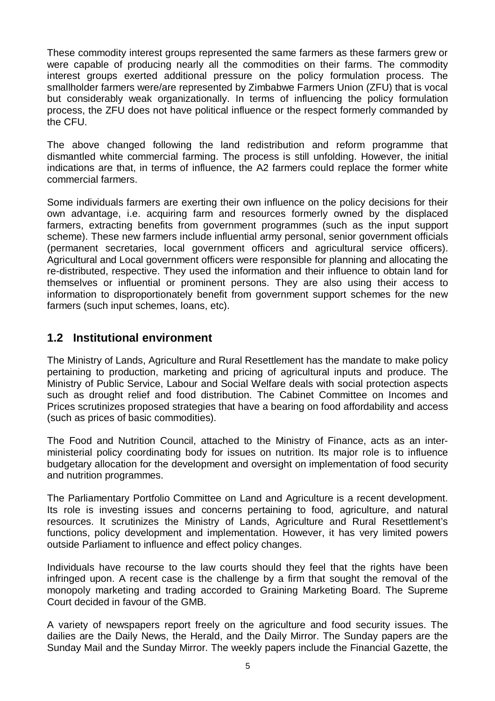These commodity interest groups represented the same farmers as these farmers grew or were capable of producing nearly all the commodities on their farms. The commodity interest groups exerted additional pressure on the policy formulation process. The smallholder farmers were/are represented by Zimbabwe Farmers Union (ZFU) that is vocal but considerably weak organizationally. In terms of influencing the policy formulation process, the ZFU does not have political influence or the respect formerly commanded by the CFU.

The above changed following the land redistribution and reform programme that dismantled white commercial farming. The process is still unfolding. However, the initial indications are that, in terms of influence, the A2 farmers could replace the former white commercial farmers.

Some individuals farmers are exerting their own influence on the policy decisions for their own advantage, i.e. acquiring farm and resources formerly owned by the displaced farmers, extracting benefits from government programmes (such as the input support scheme). These new farmers include influential army personal, senior government officials (permanent secretaries, local government officers and agricultural service officers). Agricultural and Local government officers were responsible for planning and allocating the re-distributed, respective. They used the information and their influence to obtain land for themselves or influential or prominent persons. They are also using their access to information to disproportionately benefit from government support schemes for the new farmers (such input schemes, loans, etc).

## **1.2 Institutional environment**

The Ministry of Lands, Agriculture and Rural Resettlement has the mandate to make policy pertaining to production, marketing and pricing of agricultural inputs and produce. The Ministry of Public Service, Labour and Social Welfare deals with social protection aspects such as drought relief and food distribution. The Cabinet Committee on Incomes and Prices scrutinizes proposed strategies that have a bearing on food affordability and access (such as prices of basic commodities).

The Food and Nutrition Council, attached to the Ministry of Finance, acts as an interministerial policy coordinating body for issues on nutrition. Its major role is to influence budgetary allocation for the development and oversight on implementation of food security and nutrition programmes.

The Parliamentary Portfolio Committee on Land and Agriculture is a recent development. Its role is investing issues and concerns pertaining to food, agriculture, and natural resources. It scrutinizes the Ministry of Lands, Agriculture and Rural Resettlement's functions, policy development and implementation. However, it has very limited powers outside Parliament to influence and effect policy changes.

Individuals have recourse to the law courts should they feel that the rights have been infringed upon. A recent case is the challenge by a firm that sought the removal of the monopoly marketing and trading accorded to Graining Marketing Board. The Supreme Court decided in favour of the GMB.

A variety of newspapers report freely on the agriculture and food security issues. The dailies are the Daily News, the Herald, and the Daily Mirror. The Sunday papers are the Sunday Mail and the Sunday Mirror. The weekly papers include the Financial Gazette, the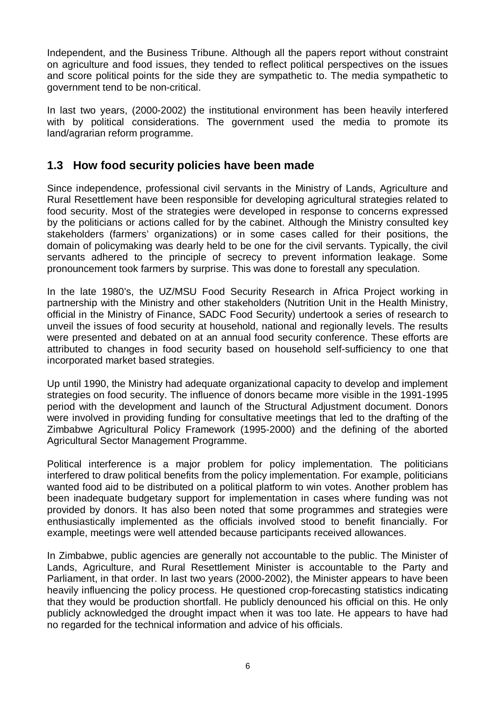Independent, and the Business Tribune. Although all the papers report without constraint on agriculture and food issues, they tended to reflect political perspectives on the issues and score political points for the side they are sympathetic to. The media sympathetic to government tend to be non-critical.

In last two years, (2000-2002) the institutional environment has been heavily interfered with by political considerations. The government used the media to promote its land/agrarian reform programme.

## **1.3 How food security policies have been made**

Since independence, professional civil servants in the Ministry of Lands, Agriculture and Rural Resettlement have been responsible for developing agricultural strategies related to food security. Most of the strategies were developed in response to concerns expressed by the politicians or actions called for by the cabinet. Although the Ministry consulted key stakeholders (farmers' organizations) or in some cases called for their positions, the domain of policymaking was dearly held to be one for the civil servants. Typically, the civil servants adhered to the principle of secrecy to prevent information leakage. Some pronouncement took farmers by surprise. This was done to forestall any speculation.

In the late 1980's, the UZ/MSU Food Security Research in Africa Project working in partnership with the Ministry and other stakeholders (Nutrition Unit in the Health Ministry, official in the Ministry of Finance, SADC Food Security) undertook a series of research to unveil the issues of food security at household, national and regionally levels. The results were presented and debated on at an annual food security conference. These efforts are attributed to changes in food security based on household self-sufficiency to one that incorporated market based strategies.

Up until 1990, the Ministry had adequate organizational capacity to develop and implement strategies on food security. The influence of donors became more visible in the 1991-1995 period with the development and launch of the Structural Adjustment document. Donors were involved in providing funding for consultative meetings that led to the drafting of the Zimbabwe Agricultural Policy Framework (1995-2000) and the defining of the aborted Agricultural Sector Management Programme.

Political interference is a major problem for policy implementation. The politicians interfered to draw political benefits from the policy implementation. For example, politicians wanted food aid to be distributed on a political platform to win votes. Another problem has been inadequate budgetary support for implementation in cases where funding was not provided by donors. It has also been noted that some programmes and strategies were enthusiastically implemented as the officials involved stood to benefit financially. For example, meetings were well attended because participants received allowances.

In Zimbabwe, public agencies are generally not accountable to the public. The Minister of Lands, Agriculture, and Rural Resettlement Minister is accountable to the Party and Parliament, in that order. In last two years (2000-2002), the Minister appears to have been heavily influencing the policy process. He questioned crop-forecasting statistics indicating that they would be production shortfall. He publicly denounced his official on this. He only publicly acknowledged the drought impact when it was too late. He appears to have had no regarded for the technical information and advice of his officials.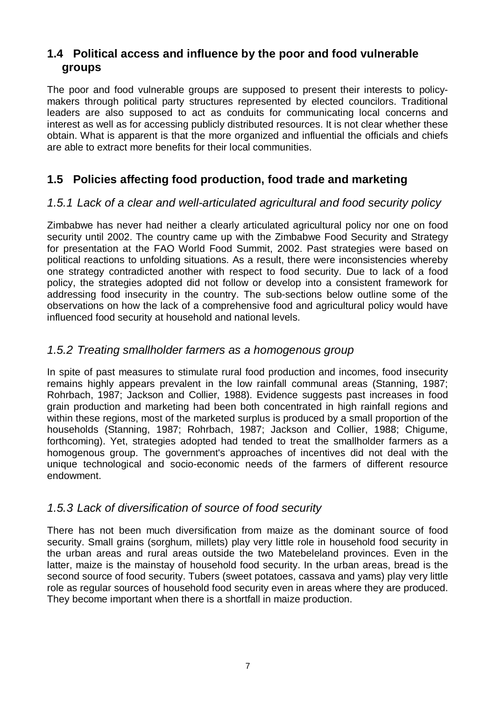## **1.4 Political access and influence by the poor and food vulnerable groups**

The poor and food vulnerable groups are supposed to present their interests to policymakers through political party structures represented by elected councilors. Traditional leaders are also supposed to act as conduits for communicating local concerns and interest as well as for accessing publicly distributed resources. It is not clear whether these obtain. What is apparent is that the more organized and influential the officials and chiefs are able to extract more benefits for their local communities.

# **1.5 Policies affecting food production, food trade and marketing**

## *1.5.1 Lack of a clear and well-articulated agricultural and food security policy*

Zimbabwe has never had neither a clearly articulated agricultural policy nor one on food security until 2002. The country came up with the Zimbabwe Food Security and Strategy for presentation at the FAO World Food Summit, 2002. Past strategies were based on political reactions to unfolding situations. As a result, there were inconsistencies whereby one strategy contradicted another with respect to food security. Due to lack of a food policy, the strategies adopted did not follow or develop into a consistent framework for addressing food insecurity in the country. The sub-sections below outline some of the observations on how the lack of a comprehensive food and agricultural policy would have influenced food security at household and national levels.

## *1.5.2 Treating smallholder farmers as a homogenous group*

In spite of past measures to stimulate rural food production and incomes, food insecurity remains highly appears prevalent in the low rainfall communal areas (Stanning, 1987; Rohrbach, 1987; Jackson and Collier, 1988). Evidence suggests past increases in food grain production and marketing had been both concentrated in high rainfall regions and within these regions, most of the marketed surplus is produced by a small proportion of the households (Stanning, 1987; Rohrbach, 1987; Jackson and Collier, 1988; Chigume, forthcoming). Yet, strategies adopted had tended to treat the smallholder farmers as a homogenous group. The government's approaches of incentives did not deal with the unique technological and socio-economic needs of the farmers of different resource endowment.

## *1.5.3 Lack of diversification of source of food security*

There has not been much diversification from maize as the dominant source of food security. Small grains (sorghum, millets) play very little role in household food security in the urban areas and rural areas outside the two Matebeleland provinces. Even in the latter, maize is the mainstay of household food security. In the urban areas, bread is the second source of food security. Tubers (sweet potatoes, cassava and yams) play very little role as regular sources of household food security even in areas where they are produced. They become important when there is a shortfall in maize production.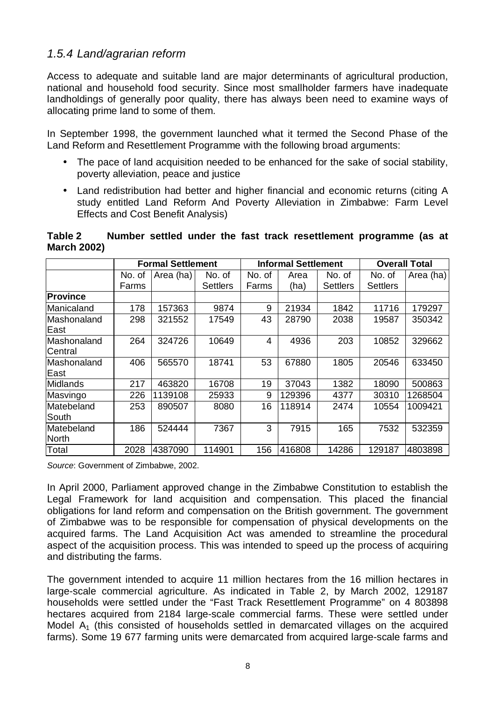### *1.5.4 Land/agrarian reform*

Access to adequate and suitable land are major determinants of agricultural production, national and household food security. Since most smallholder farmers have inadequate landholdings of generally poor quality, there has always been need to examine ways of allocating prime land to some of them.

In September 1998, the government launched what it termed the Second Phase of the Land Reform and Resettlement Programme with the following broad arguments:

- The pace of land acquisition needed to be enhanced for the sake of social stability, poverty alleviation, peace and justice
- Land redistribution had better and higher financial and economic returns (citing A study entitled Land Reform And Poverty Alleviation in Zimbabwe: Farm Level Effects and Cost Benefit Analysis)

**Table 2 Number settled under the fast track resettlement programme (as at March 2002)** 

|                 |        | <b>Formal Settlement</b> |                 | <b>Informal Settlement</b> |        |                 | <b>Overall Total</b> |           |
|-----------------|--------|--------------------------|-----------------|----------------------------|--------|-----------------|----------------------|-----------|
|                 | No. of | Area (ha)                | No. of          | No. of                     | Area   | No. of          | No. of               | Area (ha) |
|                 | Farms  |                          | <b>Settlers</b> | Farms                      | (ha)   | <b>Settlers</b> | <b>Settlers</b>      |           |
| <b>Province</b> |        |                          |                 |                            |        |                 |                      |           |
| Manicaland      | 178    | 157363                   | 9874            | 9                          | 21934  | 1842            | 11716                | 179297    |
| Mashonaland     | 298    | 321552                   | 17549           | 43                         | 28790  | 2038            | 19587                | 350342    |
| East            |        |                          |                 |                            |        |                 |                      |           |
| Mashonaland     | 264    | 324726                   | 10649           | 4                          | 4936   | 203             | 10852                | 329662    |
| Central         |        |                          |                 |                            |        |                 |                      |           |
| Mashonaland     | 406    | 565570                   | 18741           | 53                         | 67880  | 1805            | 20546                | 633450    |
| East            |        |                          |                 |                            |        |                 |                      |           |
| <b>Midlands</b> | 217    | 463820                   | 16708           | 19                         | 37043  | 1382            | 18090                | 500863    |
| Masvingo        | 226    | 1139108                  | 25933           | 9                          | 129396 | 4377            | 30310                | 1268504   |
| Matebeland      | 253    | 890507                   | 8080            | 16                         | 118914 | 2474            | 10554                | 1009421   |
| South           |        |                          |                 |                            |        |                 |                      |           |
| Matebeland      | 186    | 524444                   | 7367            | 3                          | 7915   | 165             | 7532                 | 532359    |
| <b>North</b>    |        |                          |                 |                            |        |                 |                      |           |
| Total           | 2028   | 4387090                  | 114901          | 156                        | 416808 | 14286           | 129187               | 4803898   |

*Source*: Government of Zimbabwe, 2002.

In April 2000, Parliament approved change in the Zimbabwe Constitution to establish the Legal Framework for land acquisition and compensation. This placed the financial obligations for land reform and compensation on the British government. The government of Zimbabwe was to be responsible for compensation of physical developments on the acquired farms. The Land Acquisition Act was amended to streamline the procedural aspect of the acquisition process. This was intended to speed up the process of acquiring and distributing the farms.

The government intended to acquire 11 million hectares from the 16 million hectares in large-scale commercial agriculture. As indicated in Table 2, by March 2002, 129187 households were settled under the "Fast Track Resettlement Programme" on 4 803898 hectares acquired from 2184 large-scale commercial farms. These were settled under Model  $A_1$  (this consisted of households settled in demarcated villages on the acquired farms). Some 19 677 farming units were demarcated from acquired large-scale farms and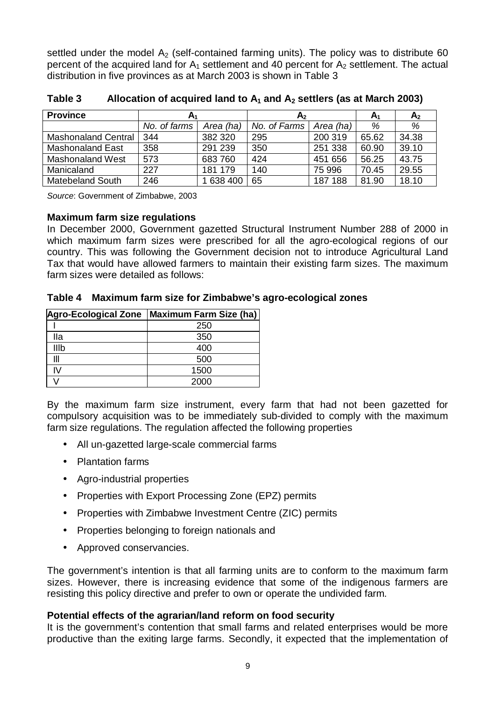settled under the model  $A<sub>2</sub>$  (self-contained farming units). The policy was to distribute 60 percent of the acquired land for  $A_1$  settlement and 40 percent for  $A_2$  settlement. The actual distribution in five provinces as at March 2003 is shown in Table 3

| <b>Province</b>            | A <sub>1</sub> |           | A <sub>2</sub> | A <sub>1</sub> | A <sub>2</sub> |       |
|----------------------------|----------------|-----------|----------------|----------------|----------------|-------|
|                            | No. of farms   | Area (ha) | No. of Farms   | Area (ha)      | %              | %     |
| <b>Mashonaland Central</b> | 344            | 382 320   | 295            | 200 319        | 65.62          | 34.38 |
| Mashonaland East           | 358            | 291 239   | 350            | 251 338        | 60.90          | 39.10 |
| <b>Mashonaland West</b>    | 573            | 683 760   | 424            | 451 656        | 56.25          | 43.75 |
| Manicaland                 | 227            | 181 179   | 140            | 75 996         | 70.45          | 29.55 |
| <b>Matebeland South</b>    | 246            | 638 400   | 65             | 187 188        | 81.90          | 18.10 |

Table 3 Allocation of acquired land to  $A_1$  and  $A_2$  settlers (as at March 2003)

*Source*: Government of Zimbabwe, 2003

#### **Maximum farm size regulations**

In December 2000, Government gazetted Structural Instrument Number 288 of 2000 in which maximum farm sizes were prescribed for all the agro-ecological regions of our country. This was following the Government decision not to introduce Agricultural Land Tax that would have allowed farmers to maintain their existing farm sizes. The maximum farm sizes were detailed as follows:

**Table 4 Maximum farm size for Zimbabwe's agro-ecological zones** 

| <b>Agro-Ecological Zone</b> | Maximum Farm Size (ha) |
|-----------------------------|------------------------|
|                             | 250                    |
| lla                         | 350                    |
| IIIb                        | 400                    |
| Ш                           | 500                    |
| ΙV                          | 1500                   |
|                             | 2000                   |

By the maximum farm size instrument, every farm that had not been gazetted for compulsory acquisition was to be immediately sub-divided to comply with the maximum farm size regulations. The regulation affected the following properties

- All un-gazetted large-scale commercial farms
- Plantation farms
- Agro-industrial properties
- Properties with Export Processing Zone (EPZ) permits
- Properties with Zimbabwe Investment Centre (ZIC) permits
- Properties belonging to foreign nationals and
- Approved conservancies.

The government's intention is that all farming units are to conform to the maximum farm sizes. However, there is increasing evidence that some of the indigenous farmers are resisting this policy directive and prefer to own or operate the undivided farm.

#### **Potential effects of the agrarian/land reform on food security**

It is the government's contention that small farms and related enterprises would be more productive than the exiting large farms. Secondly, it expected that the implementation of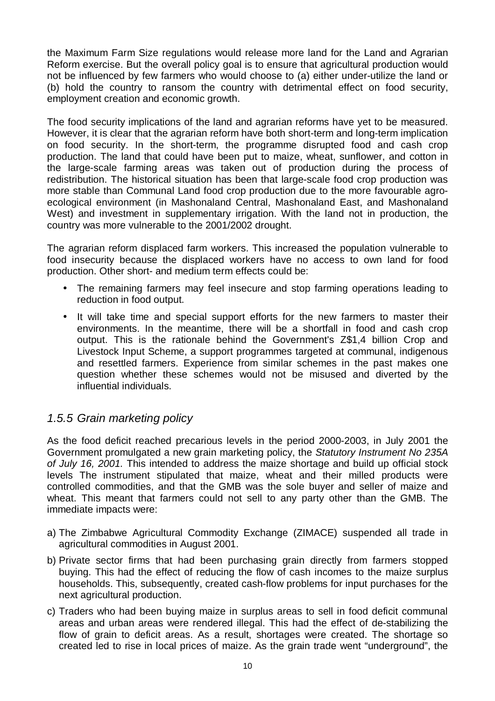the Maximum Farm Size regulations would release more land for the Land and Agrarian Reform exercise. But the overall policy goal is to ensure that agricultural production would not be influenced by few farmers who would choose to (a) either under-utilize the land or (b) hold the country to ransom the country with detrimental effect on food security, employment creation and economic growth.

The food security implications of the land and agrarian reforms have yet to be measured. However, it is clear that the agrarian reform have both short-term and long-term implication on food security. In the short-term, the programme disrupted food and cash crop production. The land that could have been put to maize, wheat, sunflower, and cotton in the large-scale farming areas was taken out of production during the process of redistribution. The historical situation has been that large-scale food crop production was more stable than Communal Land food crop production due to the more favourable agroecological environment (in Mashonaland Central, Mashonaland East, and Mashonaland West) and investment in supplementary irrigation. With the land not in production, the country was more vulnerable to the 2001/2002 drought.

The agrarian reform displaced farm workers. This increased the population vulnerable to food insecurity because the displaced workers have no access to own land for food production. Other short- and medium term effects could be:

- The remaining farmers may feel insecure and stop farming operations leading to reduction in food output.
- It will take time and special support efforts for the new farmers to master their environments. In the meantime, there will be a shortfall in food and cash crop output. This is the rationale behind the Government's Z\$1,4 billion Crop and Livestock Input Scheme, a support programmes targeted at communal, indigenous and resettled farmers. Experience from similar schemes in the past makes one question whether these schemes would not be misused and diverted by the influential individuals.

## *1.5.5 Grain marketing policy*

As the food deficit reached precarious levels in the period 2000-2003, in July 2001 the Government promulgated a new grain marketing policy, the *Statutory Instrument No 235A of July 16, 2001.* This intended to address the maize shortage and build up official stock levels The instrument stipulated that maize, wheat and their milled products were controlled commodities, and that the GMB was the sole buyer and seller of maize and wheat. This meant that farmers could not sell to any party other than the GMB. The immediate impacts were:

- a) The Zimbabwe Agricultural Commodity Exchange (ZIMACE) suspended all trade in agricultural commodities in August 2001.
- b) Private sector firms that had been purchasing grain directly from farmers stopped buying. This had the effect of reducing the flow of cash incomes to the maize surplus households. This, subsequently, created cash-flow problems for input purchases for the next agricultural production.
- c) Traders who had been buying maize in surplus areas to sell in food deficit communal areas and urban areas were rendered illegal. This had the effect of de-stabilizing the flow of grain to deficit areas. As a result, shortages were created. The shortage so created led to rise in local prices of maize. As the grain trade went "underground", the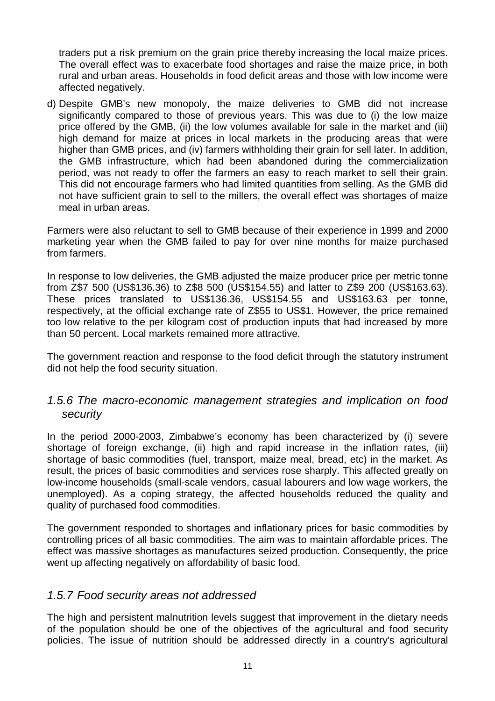traders put a risk premium on the grain price thereby increasing the local maize prices. The overall effect was to exacerbate food shortages and raise the maize price, in both rural and urban areas. Households in food deficit areas and those with low income were affected negatively.

d) Despite GMB's new monopoly, the maize deliveries to GMB did not increase significantly compared to those of previous years. This was due to (i) the low maize price offered by the GMB, (ii) the low volumes available for sale in the market and (iii) high demand for maize at prices in local markets in the producing areas that were higher than GMB prices, and (iv) farmers withholding their grain for sell later. In addition, the GMB infrastructure, which had been abandoned during the commercialization period, was not ready to offer the farmers an easy to reach market to sell their grain. This did not encourage farmers who had limited quantities from selling. As the GMB did not have sufficient grain to sell to the millers, the overall effect was shortages of maize meal in urban areas.

Farmers were also reluctant to sell to GMB because of their experience in 1999 and 2000 marketing year when the GMB failed to pay for over nine months for maize purchased from farmers.

In response to low deliveries, the GMB adjusted the maize producer price per metric tonne from Z\$7 500 (US\$136.36) to Z\$8 500 (US\$154.55) and latter to Z\$9 200 (US\$163.63). These prices translated to US\$136.36, US\$154.55 and US\$163.63 per tonne, respectively, at the official exchange rate of Z\$55 to US\$1. However, the price remained too low relative to the per kilogram cost of production inputs that had increased by more than 50 percent. Local markets remained more attractive.

The government reaction and response to the food deficit through the statutory instrument did not help the food security situation.

### *1.5.6 The macro-economic management strategies and implication on food security*

In the period 2000-2003, Zimbabwe's economy has been characterized by (i) severe shortage of foreign exchange, (ii) high and rapid increase in the inflation rates, (iii) shortage of basic commodities (fuel, transport, maize meal, bread, etc) in the market. As result, the prices of basic commodities and services rose sharply. This affected greatly on low-income households (small-scale vendors, casual labourers and low wage workers, the unemployed). As a coping strategy, the affected households reduced the quality and quality of purchased food commodities.

The government responded to shortages and inflationary prices for basic commodities by controlling prices of all basic commodities. The aim was to maintain affordable prices. The effect was massive shortages as manufactures seized production. Consequently, the price went up affecting negatively on affordability of basic food.

### *1.5.7 Food security areas not addressed*

The high and persistent malnutrition levels suggest that improvement in the dietary needs of the population should be one of the objectives of the agricultural and food security policies. The issue of nutrition should be addressed directly in a country's agricultural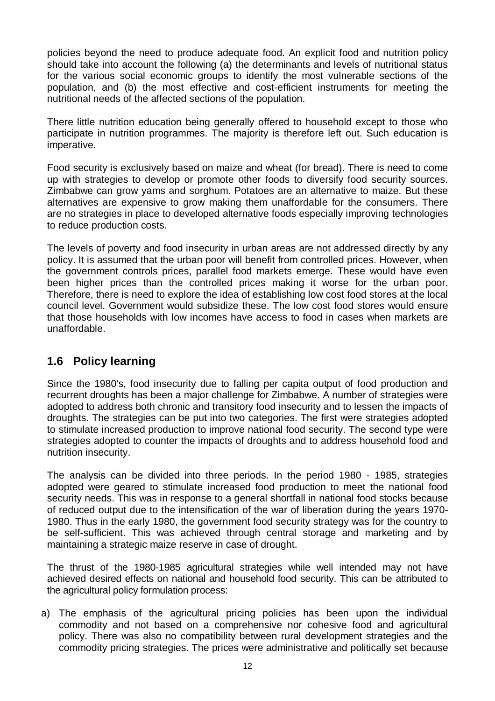policies beyond the need to produce adequate food. An explicit food and nutrition policy should take into account the following (a) the determinants and levels of nutritional status for the various social economic groups to identify the most vulnerable sections of the population, and (b) the most effective and cost-efficient instruments for meeting the nutritional needs of the affected sections of the population.

There little nutrition education being generally offered to household except to those who participate in nutrition programmes. The majority is therefore left out. Such education is imperative.

Food security is exclusively based on maize and wheat (for bread). There is need to come up with strategies to develop or promote other foods to diversify food security sources. Zimbabwe can grow yams and sorghum. Potatoes are an alternative to maize. But these alternatives are expensive to grow making them unaffordable for the consumers. There are no strategies in place to developed alternative foods especially improving technologies to reduce production costs.

The levels of poverty and food insecurity in urban areas are not addressed directly by any policy. It is assumed that the urban poor will benefit from controlled prices. However, when the government controls prices, parallel food markets emerge. These would have even been higher prices than the controlled prices making it worse for the urban poor. Therefore, there is need to explore the idea of establishing low cost food stores at the local council level. Government would subsidize these. The low cost food stores would ensure that those households with low incomes have access to food in cases when markets are unaffordable.

## **1.6 Policy learning**

Since the 1980's, food insecurity due to falling per capita output of food production and recurrent droughts has been a major challenge for Zimbabwe. A number of strategies were adopted to address both chronic and transitory food insecurity and to lessen the impacts of droughts. The strategies can be put into two categories. The first were strategies adopted to stimulate increased production to improve national food security. The second type were strategies adopted to counter the impacts of droughts and to address household food and nutrition insecurity.

The analysis can be divided into three periods. In the period 1980 - 1985, strategies adopted were geared to stimulate increased food production to meet the national food security needs. This was in response to a general shortfall in national food stocks because of reduced output due to the intensification of the war of liberation during the years 1970- 1980. Thus in the early 1980, the government food security strategy was for the country to be self-sufficient. This was achieved through central storage and marketing and by maintaining a strategic maize reserve in case of drought.

The thrust of the 1980-1985 agricultural strategies while well intended may not have achieved desired effects on national and household food security. This can be attributed to the agricultural policy formulation process:

a) The emphasis of the agricultural pricing policies has been upon the individual commodity and not based on a comprehensive nor cohesive food and agricultural policy. There was also no compatibility between rural development strategies and the commodity pricing strategies. The prices were administrative and politically set because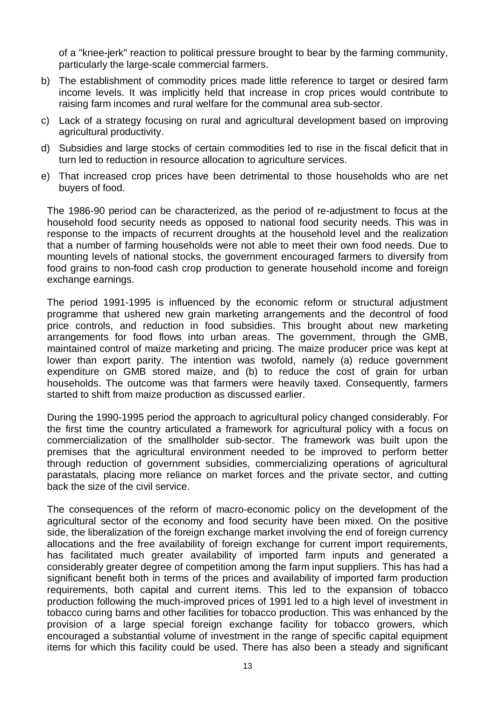of a "knee-jerk" reaction to political pressure brought to bear by the farming community, particularly the large-scale commercial farmers.

- b) The establishment of commodity prices made little reference to target or desired farm income levels. It was implicitly held that increase in crop prices would contribute to raising farm incomes and rural welfare for the communal area sub-sector.
- c) Lack of a strategy focusing on rural and agricultural development based on improving agricultural productivity.
- d) Subsidies and large stocks of certain commodities led to rise in the fiscal deficit that in turn led to reduction in resource allocation to agriculture services.
- e) That increased crop prices have been detrimental to those households who are net buyers of food.

The 1986-90 period can be characterized, as the period of re-adjustment to focus at the household food security needs as opposed to national food security needs. This was in response to the impacts of recurrent droughts at the household level and the realization that a number of farming households were not able to meet their own food needs. Due to mounting levels of national stocks, the government encouraged farmers to diversify from food grains to non-food cash crop production to generate household income and foreign exchange earnings.

The period 1991-1995 is influenced by the economic reform or structural adjustment programme that ushered new grain marketing arrangements and the decontrol of food price controls, and reduction in food subsidies. This brought about new marketing arrangements for food flows into urban areas. The government, through the GMB, maintained control of maize marketing and pricing. The maize producer price was kept at lower than export parity. The intention was twofold, namely (a) reduce government expenditure on GMB stored maize, and (b) to reduce the cost of grain for urban households. The outcome was that farmers were heavily taxed. Consequently, farmers started to shift from maize production as discussed earlier.

During the 1990-1995 period the approach to agricultural policy changed considerably. For the first time the country articulated a framework for agricultural policy with a focus on commercialization of the smallholder sub-sector. The framework was built upon the premises that the agricultural environment needed to be improved to perform better through reduction of government subsidies, commercializing operations of agricultural parastatals, placing more reliance on market forces and the private sector, and cutting back the size of the civil service.

The consequences of the reform of macro-economic policy on the development of the agricultural sector of the economy and food security have been mixed. On the positive side, the liberalization of the foreign exchange market involving the end of foreign currency allocations and the free availability of foreign exchange for current import requirements, has facilitated much greater availability of imported farm inputs and generated a considerably greater degree of competition among the farm input suppliers. This has had a significant benefit both in terms of the prices and availability of imported farm production requirements, both capital and current items. This led to the expansion of tobacco production following the much-improved prices of 1991 led to a high level of investment in tobacco curing barns and other facilities for tobacco production. This was enhanced by the provision of a large special foreign exchange facility for tobacco growers, which encouraged a substantial volume of investment in the range of specific capital equipment items for which this facility could be used. There has also been a steady and significant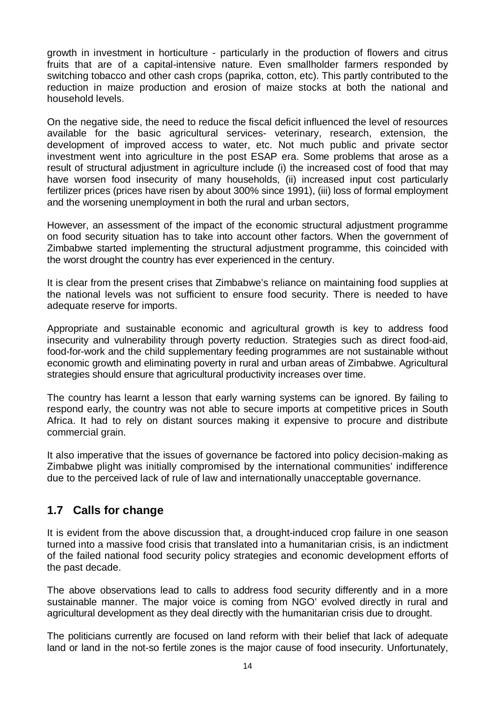growth in investment in horticulture - particularly in the production of flowers and citrus fruits that are of a capital-intensive nature. Even smallholder farmers responded by switching tobacco and other cash crops (paprika, cotton, etc). This partly contributed to the reduction in maize production and erosion of maize stocks at both the national and household levels.

On the negative side, the need to reduce the fiscal deficit influenced the level of resources available for the basic agricultural services- veterinary, research, extension, the development of improved access to water, etc. Not much public and private sector investment went into agriculture in the post ESAP era. Some problems that arose as a result of structural adjustment in agriculture include (i) the increased cost of food that may have worsen food insecurity of many households, (ii) increased input cost particularly fertilizer prices (prices have risen by about 300% since 1991), (iii) loss of formal employment and the worsening unemployment in both the rural and urban sectors,

However, an assessment of the impact of the economic structural adjustment programme on food security situation has to take into account other factors. When the government of Zimbabwe started implementing the structural adjustment programme, this coincided with the worst drought the country has ever experienced in the century.

It is clear from the present crises that Zimbabwe's reliance on maintaining food supplies at the national levels was not sufficient to ensure food security. There is needed to have adequate reserve for imports.

Appropriate and sustainable economic and agricultural growth is key to address food insecurity and vulnerability through poverty reduction. Strategies such as direct food-aid, food-for-work and the child supplementary feeding programmes are not sustainable without economic growth and eliminating poverty in rural and urban areas of Zimbabwe. Agricultural strategies should ensure that agricultural productivity increases over time.

The country has learnt a lesson that early warning systems can be ignored. By failing to respond early, the country was not able to secure imports at competitive prices in South Africa. It had to rely on distant sources making it expensive to procure and distribute commercial grain.

It also imperative that the issues of governance be factored into policy decision-making as Zimbabwe plight was initially compromised by the international communities' indifference due to the perceived lack of rule of law and internationally unacceptable governance.

## **1.7 Calls for change**

It is evident from the above discussion that, a drought-induced crop failure in one season turned into a massive food crisis that translated into a humanitarian crisis, is an indictment of the failed national food security policy strategies and economic development efforts of the past decade.

The above observations lead to calls to address food security differently and in a more sustainable manner. The major voice is coming from NGO' evolved directly in rural and agricultural development as they deal directly with the humanitarian crisis due to drought.

The politicians currently are focused on land reform with their belief that lack of adequate land or land in the not-so fertile zones is the major cause of food insecurity. Unfortunately,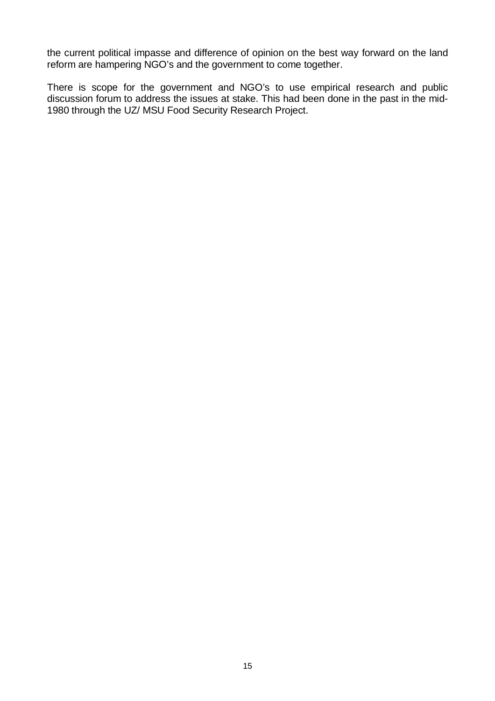the current political impasse and difference of opinion on the best way forward on the land reform are hampering NGO's and the government to come together.

There is scope for the government and NGO's to use empirical research and public discussion forum to address the issues at stake. This had been done in the past in the mid-1980 through the UZ/ MSU Food Security Research Project.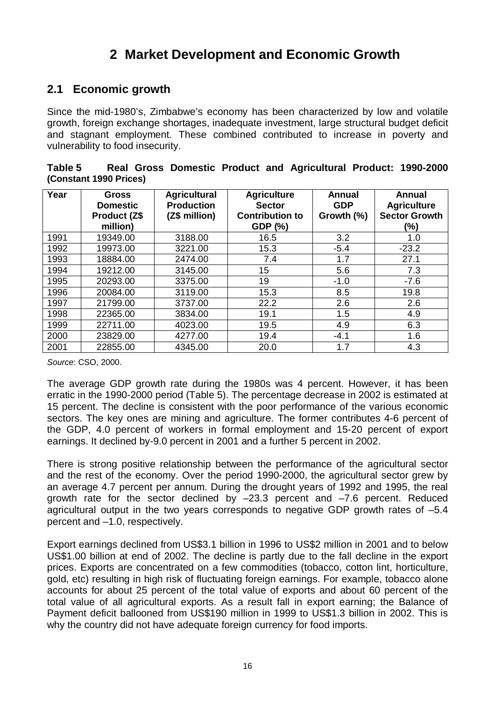# **2 Market Development and Economic Growth**

## **2.1 Economic growth**

Since the mid-1980's, Zimbabwe's economy has been characterized by low and volatile growth, foreign exchange shortages, inadequate investment, large structural budget deficit and stagnant employment. These combined contributed to increase in poverty and vulnerability to food insecurity.

| Table 5                |  |  | Real Gross Domestic Product and Agricultural Product: 1990-2000 |  |
|------------------------|--|--|-----------------------------------------------------------------|--|
| (Constant 1990 Prices) |  |  |                                                                 |  |

| Year | <b>Gross</b><br><b>Domestic</b><br>Product (Z\$<br>million) | <b>Agricultural</b><br><b>Production</b><br>(Z\$ million) | <b>Agriculture</b><br><b>Sector</b><br><b>Contribution to</b><br>GDP (%) | Annual<br><b>GDP</b><br>Growth (%) | Annual<br><b>Agriculture</b><br><b>Sector Growth</b><br>(%) |
|------|-------------------------------------------------------------|-----------------------------------------------------------|--------------------------------------------------------------------------|------------------------------------|-------------------------------------------------------------|
| 1991 | 19349.00                                                    | 3188.00                                                   | 16.5                                                                     | 3.2                                | 1.0                                                         |
| 1992 | 19973.00                                                    | 3221.00                                                   | 15.3                                                                     | $-5.4$                             | $-23.2$                                                     |
| 1993 | 18884.00                                                    | 2474.00                                                   | 7.4                                                                      | 1.7                                | 27.1                                                        |
| 1994 | 19212.00                                                    | 3145.00                                                   | 15                                                                       | 5.6                                | 7.3                                                         |
| 1995 | 20293.00                                                    | 3375.00                                                   | 19                                                                       | $-1.0$                             | $-7.6$                                                      |
| 1996 | 20084.00                                                    | 3119.00                                                   | 15.3                                                                     | 8.5                                | 19.8                                                        |
| 1997 | 21799.00                                                    | 3737.00                                                   | 22.2                                                                     | 2.6                                | 2.6                                                         |
| 1998 | 22365.00                                                    | 3834.00                                                   | 19.1                                                                     | 1.5                                | 4.9                                                         |
| 1999 | 22711.00                                                    | 4023.00                                                   | 19.5                                                                     | 4.9                                | 6.3                                                         |
| 2000 | 23829.00                                                    | 4277.00                                                   | 19.4                                                                     | $-4.1$                             | 1.6                                                         |
| 2001 | 22855.00                                                    | 4345.00                                                   | 20.0                                                                     | 1.7                                | 4.3                                                         |

*Source*: CSO, 2000.

The average GDP growth rate during the 1980s was 4 percent. However, it has been erratic in the 1990-2000 period (Table 5). The percentage decrease in 2002 is estimated at 15 percent. The decline is consistent with the poor performance of the various economic sectors. The key ones are mining and agriculture. The former contributes 4-6 percent of the GDP, 4.0 percent of workers in formal employment and 15-20 percent of export earnings. It declined by-9.0 percent in 2001 and a further 5 percent in 2002.

There is strong positive relationship between the performance of the agricultural sector and the rest of the economy. Over the period 1990-2000, the agricultural sector grew by an average 4.7 percent per annum. During the drought years of 1992 and 1995, the real growth rate for the sector declined by  $-23.3$  percent and  $-7.6$  percent. Reduced agricultural output in the two years corresponds to negative GDP growth rates of –5.4 percent and –1.0, respectively.

Export earnings declined from US\$3.1 billion in 1996 to US\$2 million in 2001 and to below US\$1.00 billion at end of 2002. The decline is partly due to the fall decline in the export prices. Exports are concentrated on a few commodities (tobacco, cotton lint, horticulture, gold, etc) resulting in high risk of fluctuating foreign earnings. For example, tobacco alone accounts for about 25 percent of the total value of exports and about 60 percent of the total value of all agricultural exports. As a result fall in export earning; the Balance of Payment deficit ballooned from US\$190 million in 1999 to US\$1.3 billion in 2002. This is why the country did not have adequate foreign currency for food imports.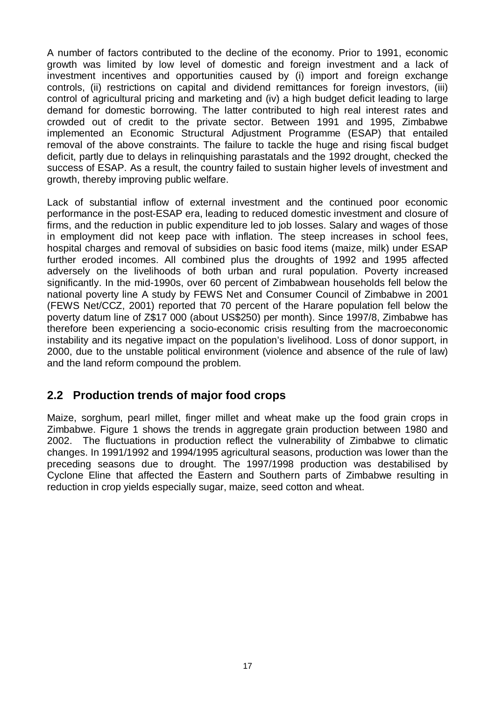A number of factors contributed to the decline of the economy. Prior to 1991, economic growth was limited by low level of domestic and foreign investment and a lack of investment incentives and opportunities caused by (i) import and foreign exchange controls, (ii) restrictions on capital and dividend remittances for foreign investors, (iii) control of agricultural pricing and marketing and (iv) a high budget deficit leading to large demand for domestic borrowing. The latter contributed to high real interest rates and crowded out of credit to the private sector. Between 1991 and 1995, Zimbabwe implemented an Economic Structural Adjustment Programme (ESAP) that entailed removal of the above constraints. The failure to tackle the huge and rising fiscal budget deficit, partly due to delays in relinquishing parastatals and the 1992 drought, checked the success of ESAP. As a result, the country failed to sustain higher levels of investment and growth, thereby improving public welfare.

Lack of substantial inflow of external investment and the continued poor economic performance in the post-ESAP era, leading to reduced domestic investment and closure of firms, and the reduction in public expenditure led to job losses. Salary and wages of those in employment did not keep pace with inflation. The steep increases in school fees, hospital charges and removal of subsidies on basic food items (maize, milk) under ESAP further eroded incomes. All combined plus the droughts of 1992 and 1995 affected adversely on the livelihoods of both urban and rural population. Poverty increased significantly. In the mid-1990s, over 60 percent of Zimbabwean households fell below the national poverty line A study by FEWS Net and Consumer Council of Zimbabwe in 2001 (FEWS Net/CCZ, 2001) reported that 70 percent of the Harare population fell below the poverty datum line of Z\$17 000 (about US\$250) per month). Since 1997/8, Zimbabwe has therefore been experiencing a socio-economic crisis resulting from the macroeconomic instability and its negative impact on the population's livelihood. Loss of donor support, in 2000, due to the unstable political environment (violence and absence of the rule of law) and the land reform compound the problem.

## **2.2 Production trends of major food crops**

Maize, sorghum, pearl millet, finger millet and wheat make up the food grain crops in Zimbabwe. Figure 1 shows the trends in aggregate grain production between 1980 and 2002. The fluctuations in production reflect the vulnerability of Zimbabwe to climatic changes. In 1991/1992 and 1994/1995 agricultural seasons, production was lower than the preceding seasons due to drought. The 1997/1998 production was destabilised by Cyclone Eline that affected the Eastern and Southern parts of Zimbabwe resulting in reduction in crop yields especially sugar, maize, seed cotton and wheat.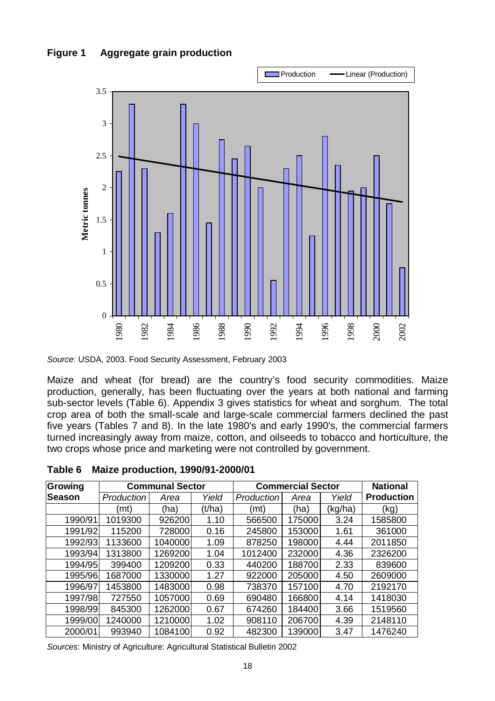



*Source*: USDA, 2003. Food Security Assessment, February 2003

Maize and wheat (for bread) are the country's food security commodities. Maize production, generally, has been fluctuating over the years at both national and farming sub-sector levels (Table 6). Appendix 3 gives statistics for wheat and sorghum. The total crop area of both the small-scale and large-scale commercial farmers declined the past five years (Tables 7 and 8). In the late 1980's and early 1990's, the commercial farmers turned increasingly away from maize, cotton, and oilseeds to tobacco and horticulture, the two crops whose price and marketing were not controlled by government.

| Growing |            | <b>Communal Sector</b> |        | <b>Commercial Sector</b> | <b>National</b> |         |                   |
|---------|------------|------------------------|--------|--------------------------|-----------------|---------|-------------------|
| ∣Season | Production | Area                   | Yield  | Production               | Area            | Yield   | <b>Production</b> |
|         | (mt)       | (ha)                   | (t/ha) | (mt)                     | (ha)            | (kg/ha) | (kg)              |
| 1990/91 | 1019300    | 926200                 | 1.10   | 566500                   | 175000          | 3.24    | 1585800           |
| 1991/92 | 115200     | 728000                 | 0.16   | 245800                   | 153000          | 1.61    | 361000            |
| 1992/93 | 1133600    | 1040000                | 1.09   | 878250                   | 198000          | 4.44    | 2011850           |
| 1993/94 | 1313800    | 1269200                | 1.04   | 1012400                  | 232000          | 4.36    | 2326200           |
| 1994/95 | 399400     | 1209200                | 0.33   | 440200                   | 188700          | 2.33    | 839600            |
| 1995/96 | 1687000    | 1330000                | 1.27   | 922000                   | 205000          | 4.50    | 2609000           |
| 1996/97 | 1453800    | 1483000                | 0.98   | 738370                   | 157100          | 4.70    | 2192170           |
| 1997/98 | 727550     | 1057000                | 0.69   | 690480                   | 166800          | 4.14    | 1418030           |
| 1998/99 | 845300     | 1262000                | 0.67   | 674260                   | 184400          | 3.66    | 1519560           |
| 1999/00 | 1240000    | 1210000                | 1.02   | 908110                   | 206700          | 4.39    | 2148110           |
| 2000/01 | 993940     | 1084100                | 0.92   | 482300                   | 139000          | 3.47    | 1476240           |

**Table 6 Maize production, 1990/91-2000/01** 

*Sources*: Ministry of Agriculture: Agricultural Statistical Bulletin 2002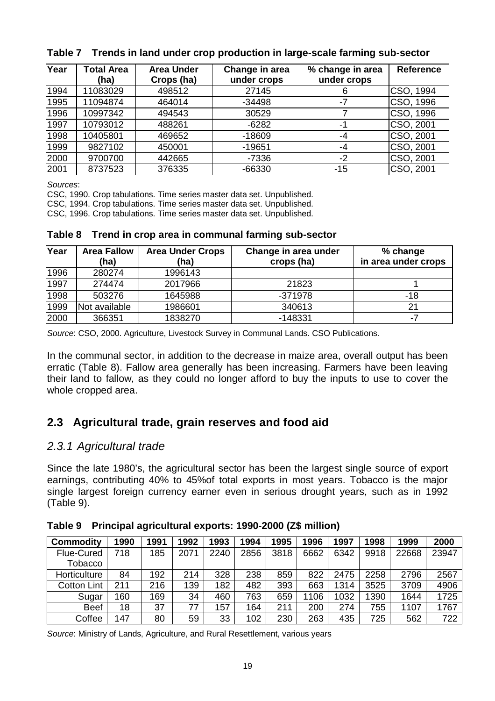| Year | <b>Total Area</b> | <b>Area Under</b> | Change in area | % change in area | <b>Reference</b> |
|------|-------------------|-------------------|----------------|------------------|------------------|
|      | (ha)              | Crops (ha)        | under crops    | under crops      |                  |
| 1994 | 11083029          | 498512            | 27145          |                  | CSO, 1994        |
| 1995 | 11094874          | 464014            | $-34498$       | -7               | CSO, 1996        |
| 1996 | 10997342          | 494543            | 30529          |                  | CSO, 1996        |
| 1997 | 10793012          | 488261            | $-6282$        | -1               | CSO, 2001        |
| 1998 | 10405801          | 469652            | $-18609$       | -4               | CSO, 2001        |
| 1999 | 9827102           | 450001            | $-19651$       | -4               | CSO, 2001        |
| 2000 | 9700700           | 442665            | $-7336$        | $-2$             | CSO, 2001        |
| 2001 | 8737523           | 376335            | $-66330$       | $-15$            | CSO, 2001        |

#### **Table 7 Trends in land under crop production in large-scale farming sub-sector**

*Sources*:

CSC, 1990. Crop tabulations. Time series master data set. Unpublished.

CSC, 1994. Crop tabulations. Time series master data set. Unpublished.

CSC, 1996. Crop tabulations. Time series master data set. Unpublished.

| Table 8 Trend in crop area in communal farming sub-sector |
|-----------------------------------------------------------|
|-----------------------------------------------------------|

| Year | <b>Area Fallow</b><br>(ha) | <b>Area Under Crops</b><br>(ha) | Change in area under<br>crops (ha) | % change<br>in area under crops |
|------|----------------------------|---------------------------------|------------------------------------|---------------------------------|
| 1996 | 280274                     | 1996143                         |                                    |                                 |
| 1997 | 274474                     | 2017966                         | 21823                              |                                 |
| 1998 | 503276                     | 1645988                         | $-371978$                          | -18                             |
| 1999 | Not available              | 1986601                         | 340613                             | 21                              |
| 2000 | 366351                     | 1838270                         | $-148331$                          | -7                              |

*Source*: CSO, 2000. Agriculture, Livestock Survey in Communal Lands. CSO Publications.

In the communal sector, in addition to the decrease in maize area, overall output has been erratic (Table 8). Fallow area generally has been increasing. Farmers have been leaving their land to fallow, as they could no longer afford to buy the inputs to use to cover the whole cropped area.

## **2.3 Agricultural trade, grain reserves and food aid**

### *2.3.1 Agricultural trade*

Since the late 1980's, the agricultural sector has been the largest single source of export earnings, contributing 40% to 45%of total exports in most years. Tobacco is the major single largest foreign currency earner even in serious drought years, such as in 1992 (Table 9).

| <b>Commodity</b>   | 1990 | 1991 | 1992 | 1993 | 1994 | 1995 | 1996 | 1997 | 1998 | 1999  | 2000  |
|--------------------|------|------|------|------|------|------|------|------|------|-------|-------|
| <b>Flue-Cured</b>  | 718  | 185  | 2071 | 2240 | 2856 | 3818 | 6662 | 6342 | 9918 | 22668 | 23947 |
| Tobacco            |      |      |      |      |      |      |      |      |      |       |       |
| Horticulture       | 84   | 192  | 214  | 328  | 238  | 859  | 822  | 2475 | 2258 | 2796  | 2567  |
| <b>Cotton Lint</b> | 211  | 216  | 139  | 182  | 482  | 393  | 663  | 1314 | 3525 | 3709  | 4906  |
| Sugar              | '60  | 169  | 34   | 460  | 763  | 659  | 106  | 1032 | 1390 | 1644  | 1725  |
| <b>Beef</b>        | 18   | 37   | 77   | 57   | 164  | 211  | 200  | 274  | 755  | 1107  | 1767  |
| Coffee             | 147  | 80   | 59   | 33   | 102  | 230  | 263  | 435  | 725  | 562   | 722   |

**Table 9 Principal agricultural exports: 1990-2000 (Z\$ million)** 

*Source*: Ministry of Lands, Agriculture, and Rural Resettlement, various years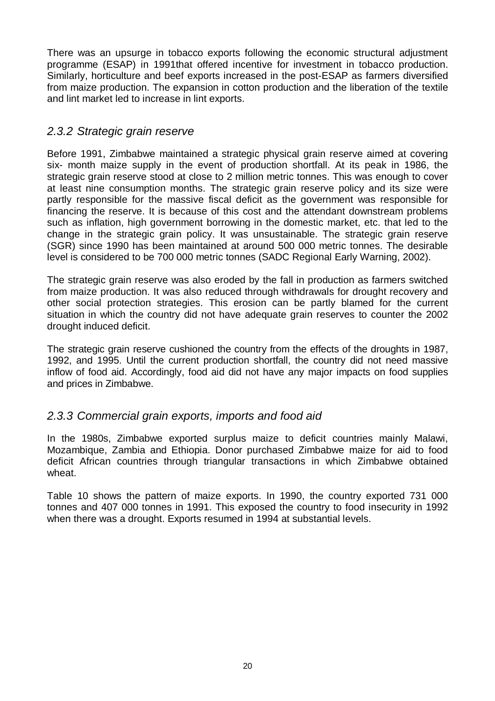There was an upsurge in tobacco exports following the economic structural adjustment programme (ESAP) in 1991that offered incentive for investment in tobacco production. Similarly, horticulture and beef exports increased in the post-ESAP as farmers diversified from maize production. The expansion in cotton production and the liberation of the textile and lint market led to increase in lint exports.

### *2.3.2 Strategic grain reserve*

Before 1991, Zimbabwe maintained a strategic physical grain reserve aimed at covering six- month maize supply in the event of production shortfall. At its peak in 1986, the strategic grain reserve stood at close to 2 million metric tonnes. This was enough to cover at least nine consumption months. The strategic grain reserve policy and its size were partly responsible for the massive fiscal deficit as the government was responsible for financing the reserve. It is because of this cost and the attendant downstream problems such as inflation, high government borrowing in the domestic market, etc. that led to the change in the strategic grain policy. It was unsustainable. The strategic grain reserve (SGR) since 1990 has been maintained at around 500 000 metric tonnes. The desirable level is considered to be 700 000 metric tonnes (SADC Regional Early Warning, 2002).

The strategic grain reserve was also eroded by the fall in production as farmers switched from maize production. It was also reduced through withdrawals for drought recovery and other social protection strategies. This erosion can be partly blamed for the current situation in which the country did not have adequate grain reserves to counter the 2002 drought induced deficit.

The strategic grain reserve cushioned the country from the effects of the droughts in 1987, 1992, and 1995. Until the current production shortfall, the country did not need massive inflow of food aid. Accordingly, food aid did not have any major impacts on food supplies and prices in Zimbabwe.

### *2.3.3 Commercial grain exports, imports and food aid*

In the 1980s, Zimbabwe exported surplus maize to deficit countries mainly Malawi, Mozambique, Zambia and Ethiopia. Donor purchased Zimbabwe maize for aid to food deficit African countries through triangular transactions in which Zimbabwe obtained wheat.

Table 10 shows the pattern of maize exports. In 1990, the country exported 731 000 tonnes and 407 000 tonnes in 1991. This exposed the country to food insecurity in 1992 when there was a drought. Exports resumed in 1994 at substantial levels.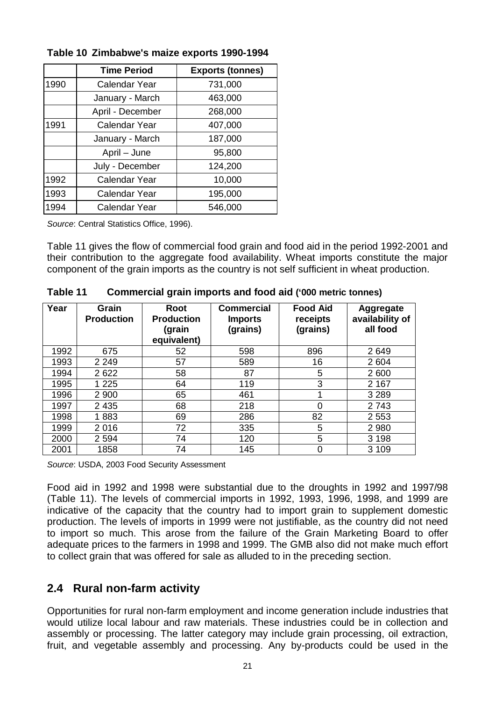|      | <b>Time Period</b>   | <b>Exports (tonnes)</b> |
|------|----------------------|-------------------------|
| 1990 | <b>Calendar Year</b> | 731,000                 |
|      | January - March      | 463,000                 |
|      | April - December     | 268,000                 |
| 1991 | Calendar Year        | 407,000                 |
|      | January - March      | 187,000                 |
|      | April – June         | 95,800                  |
|      | July - December      | 124,200                 |
| 1992 | <b>Calendar Year</b> | 10,000                  |
| 1993 | <b>Calendar Year</b> | 195,000                 |
| 1994 | <b>Calendar Year</b> | 546,000                 |

**Table 10 Zimbabwe's maize exports 1990-1994** 

*Source*: Central Statistics Office, 1996).

Table 11 gives the flow of commercial food grain and food aid in the period 1992-2001 and their contribution to the aggregate food availability. Wheat imports constitute the major component of the grain imports as the country is not self sufficient in wheat production.

| Year | Grain<br><b>Production</b> | Root<br><b>Production</b><br>(grain<br>equivalent) | <b>Commercial</b><br><b>Imports</b><br>(grains) | <b>Food Aid</b><br>receipts<br>(grains) | <b>Aggregate</b><br>availability of<br>all food |
|------|----------------------------|----------------------------------------------------|-------------------------------------------------|-----------------------------------------|-------------------------------------------------|
| 1992 | 675                        | 52                                                 | 598                                             | 896                                     | 2649                                            |
| 1993 | 2 2 4 9                    | 57                                                 | 589                                             | 16                                      | 2 604                                           |
| 1994 | 2622                       | 58                                                 | 87                                              | 5                                       | 2 600                                           |
| 1995 | 1 2 2 5                    | 64                                                 | 119                                             | 3                                       | 2 1 6 7                                         |
| 1996 | 2 9 0 0                    | 65                                                 | 461                                             |                                         | 3 2 8 9                                         |
| 1997 | 2 4 3 5                    | 68                                                 | 218                                             | 0                                       | 2743                                            |
| 1998 | 1883                       | 69                                                 | 286                                             | 82                                      | 2 5 5 3                                         |
| 1999 | 2016                       | 72                                                 | 335                                             | 5                                       | 2 9 8 0                                         |
| 2000 | 2 5 9 4                    | 74                                                 | 120                                             | 5                                       | 3 1 9 8                                         |
| 2001 | 1858                       | 74                                                 | 145                                             | 0                                       | 3 1 0 9                                         |

**Table 11 Commercial grain imports and food aid ('000 metric tonnes)** 

*Source*: USDA, 2003 Food Security Assessment

Food aid in 1992 and 1998 were substantial due to the droughts in 1992 and 1997/98 (Table 11). The levels of commercial imports in 1992, 1993, 1996, 1998, and 1999 are indicative of the capacity that the country had to import grain to supplement domestic production. The levels of imports in 1999 were not justifiable, as the country did not need to import so much. This arose from the failure of the Grain Marketing Board to offer adequate prices to the farmers in 1998 and 1999. The GMB also did not make much effort to collect grain that was offered for sale as alluded to in the preceding section.

## **2.4 Rural non-farm activity**

Opportunities for rural non-farm employment and income generation include industries that would utilize local labour and raw materials. These industries could be in collection and assembly or processing. The latter category may include grain processing, oil extraction, fruit, and vegetable assembly and processing. Any by-products could be used in the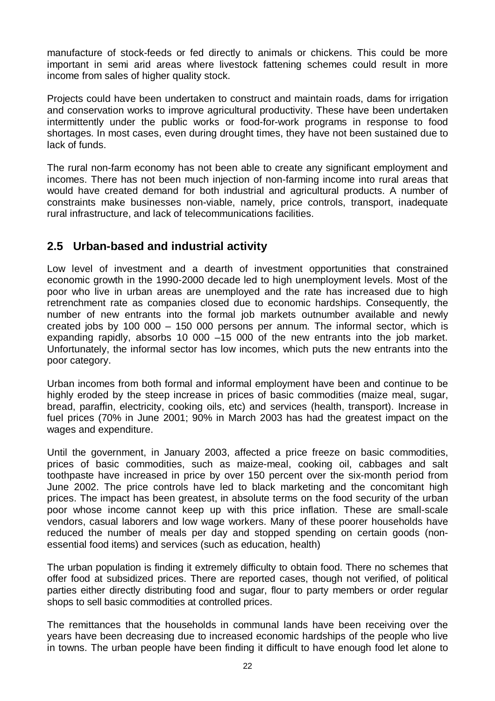manufacture of stock-feeds or fed directly to animals or chickens. This could be more important in semi arid areas where livestock fattening schemes could result in more income from sales of higher quality stock.

Projects could have been undertaken to construct and maintain roads, dams for irrigation and conservation works to improve agricultural productivity. These have been undertaken intermittently under the public works or food-for-work programs in response to food shortages. In most cases, even during drought times, they have not been sustained due to lack of funds.

The rural non-farm economy has not been able to create any significant employment and incomes. There has not been much injection of non-farming income into rural areas that would have created demand for both industrial and agricultural products. A number of constraints make businesses non-viable, namely, price controls, transport, inadequate rural infrastructure, and lack of telecommunications facilities.

## **2.5 Urban-based and industrial activity**

Low level of investment and a dearth of investment opportunities that constrained economic growth in the 1990-2000 decade led to high unemployment levels. Most of the poor who live in urban areas are unemployed and the rate has increased due to high retrenchment rate as companies closed due to economic hardships. Consequently, the number of new entrants into the formal job markets outnumber available and newly created jobs by 100 000 – 150 000 persons per annum. The informal sector, which is expanding rapidly, absorbs 10 000 –15 000 of the new entrants into the job market. Unfortunately, the informal sector has low incomes, which puts the new entrants into the poor category.

Urban incomes from both formal and informal employment have been and continue to be highly eroded by the steep increase in prices of basic commodities (maize meal, sugar, bread, paraffin, electricity, cooking oils, etc) and services (health, transport). Increase in fuel prices (70% in June 2001; 90% in March 2003 has had the greatest impact on the wages and expenditure.

Until the government, in January 2003, affected a price freeze on basic commodities, prices of basic commodities, such as maize-meal, cooking oil, cabbages and salt toothpaste have increased in price by over 150 percent over the six-month period from June 2002. The price controls have led to black marketing and the concomitant high prices. The impact has been greatest, in absolute terms on the food security of the urban poor whose income cannot keep up with this price inflation. These are small-scale vendors, casual laborers and low wage workers. Many of these poorer households have reduced the number of meals per day and stopped spending on certain goods (nonessential food items) and services (such as education, health)

The urban population is finding it extremely difficulty to obtain food. There no schemes that offer food at subsidized prices. There are reported cases, though not verified, of political parties either directly distributing food and sugar, flour to party members or order regular shops to sell basic commodities at controlled prices.

The remittances that the households in communal lands have been receiving over the years have been decreasing due to increased economic hardships of the people who live in towns. The urban people have been finding it difficult to have enough food let alone to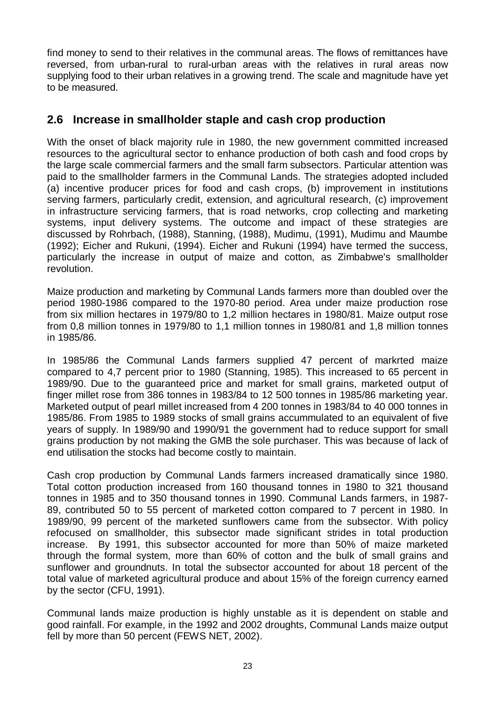find money to send to their relatives in the communal areas. The flows of remittances have reversed, from urban-rural to rural-urban areas with the relatives in rural areas now supplying food to their urban relatives in a growing trend. The scale and magnitude have yet to be measured.

## **2.6 Increase in smallholder staple and cash crop production**

With the onset of black majority rule in 1980, the new government committed increased resources to the agricultural sector to enhance production of both cash and food crops by the large scale commercial farmers and the small farm subsectors. Particular attention was paid to the smallholder farmers in the Communal Lands. The strategies adopted included (a) incentive producer prices for food and cash crops, (b) improvement in institutions serving farmers, particularly credit, extension, and agricultural research, (c) improvement in infrastructure servicing farmers, that is road networks, crop collecting and marketing systems, input delivery systems. The outcome and impact of these strategies are discussed by Rohrbach, (1988), Stanning, (1988), Mudimu, (1991), Mudimu and Maumbe (1992); Eicher and Rukuni, (1994). Eicher and Rukuni (1994) have termed the success, particularly the increase in output of maize and cotton, as Zimbabwe's smallholder revolution.

Maize production and marketing by Communal Lands farmers more than doubled over the period 1980-1986 compared to the 1970-80 period. Area under maize production rose from six million hectares in 1979/80 to 1,2 million hectares in 1980/81. Maize output rose from 0,8 million tonnes in 1979/80 to 1,1 million tonnes in 1980/81 and 1,8 million tonnes in 1985/86.

In 1985/86 the Communal Lands farmers supplied 47 percent of markrted maize compared to 4,7 percent prior to 1980 (Stanning, 1985). This increased to 65 percent in 1989/90. Due to the guaranteed price and market for small grains, marketed output of finger millet rose from 386 tonnes in 1983/84 to 12 500 tonnes in 1985/86 marketing year. Marketed output of pearl millet increased from 4 200 tonnes in 1983/84 to 40 000 tonnes in 1985/86. From 1985 to 1989 stocks of small grains accummulated to an equivalent of five years of supply. In 1989/90 and 1990/91 the government had to reduce support for small grains production by not making the GMB the sole purchaser. This was because of lack of end utilisation the stocks had become costly to maintain.

Cash crop production by Communal Lands farmers increased dramatically since 1980. Total cotton production increased from 160 thousand tonnes in 1980 to 321 thousand tonnes in 1985 and to 350 thousand tonnes in 1990. Communal Lands farmers, in 1987- 89, contributed 50 to 55 percent of marketed cotton compared to 7 percent in 1980. In 1989/90, 99 percent of the marketed sunflowers came from the subsector. With policy refocused on smallholder, this subsector made significant strides in total production increase. By 1991, this subsector accounted for more than 50% of maize marketed through the formal system, more than 60% of cotton and the bulk of small grains and sunflower and groundnuts. In total the subsector accounted for about 18 percent of the total value of marketed agricultural produce and about 15% of the foreign currency earned by the sector (CFU, 1991).

Communal lands maize production is highly unstable as it is dependent on stable and good rainfall. For example, in the 1992 and 2002 droughts, Communal Lands maize output fell by more than 50 percent (FEWS NET, 2002).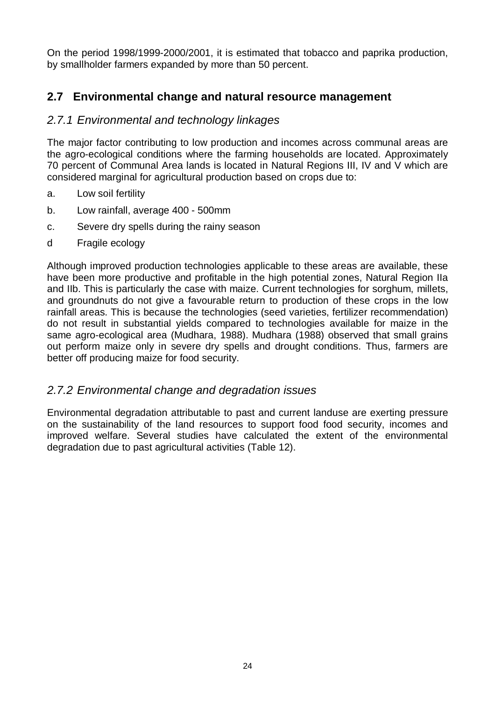On the period 1998/1999-2000/2001, it is estimated that tobacco and paprika production, by smallholder farmers expanded by more than 50 percent.

## **2.7 Environmental change and natural resource management**

## *2.7.1 Environmental and technology linkages*

The major factor contributing to low production and incomes across communal areas are the agro-ecological conditions where the farming households are located. Approximately 70 percent of Communal Area lands is located in Natural Regions III, IV and V which are considered marginal for agricultural production based on crops due to:

- a. Low soil fertility
- b. Low rainfall, average 400 500mm
- c. Severe dry spells during the rainy season
- d Fragile ecology

Although improved production technologies applicable to these areas are available, these have been more productive and profitable in the high potential zones, Natural Region IIa and IIb. This is particularly the case with maize. Current technologies for sorghum, millets, and groundnuts do not give a favourable return to production of these crops in the low rainfall areas. This is because the technologies (seed varieties, fertilizer recommendation) do not result in substantial yields compared to technologies available for maize in the same agro-ecological area (Mudhara, 1988). Mudhara (1988) observed that small grains out perform maize only in severe dry spells and drought conditions. Thus, farmers are better off producing maize for food security.

### *2.7.2 Environmental change and degradation issues*

Environmental degradation attributable to past and current landuse are exerting pressure on the sustainability of the land resources to support food food security, incomes and improved welfare. Several studies have calculated the extent of the environmental degradation due to past agricultural activities (Table 12).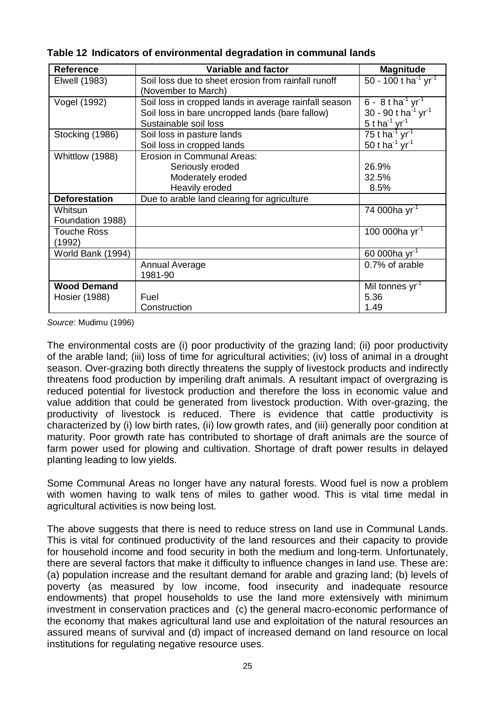| <b>Reference</b>                    | <b>Variable and factor</b>                                                                                                        | <b>Magnitude</b>                                                                                                  |
|-------------------------------------|-----------------------------------------------------------------------------------------------------------------------------------|-------------------------------------------------------------------------------------------------------------------|
| Elwell (1983)                       | Soil loss due to sheet erosion from rainfall runoff<br>(November to March)                                                        | 50 - 100 t ha <sup>-1</sup> yr <sup>-1</sup>                                                                      |
| Vogel (1992)                        | Soil loss in cropped lands in average rainfall season<br>Soil loss in bare uncropped lands (bare fallow)<br>Sustainable soil loss | 6 - $8$ t ha <sup>-1</sup> yr <sup>-1</sup><br>30 - 90 t ha $^{-1}$ yr <sup>-1</sup><br>5 t ha $^{-1}$ yr $^{-1}$ |
| Stocking (1986)                     | Soil loss in pasture lands<br>Soil loss in cropped lands                                                                          | 75 t ha <sup>-1</sup> yr <sup>-1</sup><br>50 t ha $^{-1}$ yr $^{-1}$                                              |
| Whittlow (1988)                     | Erosion in Communal Areas:<br>Seriously eroded<br>Moderately eroded<br>Heavily eroded                                             | 26.9%<br>32.5%<br>8.5%                                                                                            |
| <b>Deforestation</b>                | Due to arable land clearing for agriculture                                                                                       |                                                                                                                   |
| Whitsun<br>Foundation 1988)         |                                                                                                                                   | 74 000ha yr <sup>-1</sup>                                                                                         |
| <b>Touche Ross</b><br>(1992)        |                                                                                                                                   | 100 000ha $yr^{-1}$                                                                                               |
| World Bank (1994)                   |                                                                                                                                   | 60 000ha $yr^{-1}$                                                                                                |
|                                     | <b>Annual Average</b><br>1981-90                                                                                                  | 0.7% of arable                                                                                                    |
| <b>Wood Demand</b><br>Hosier (1988) | Fuel<br>Construction                                                                                                              | Mil tonnes yr <sup>1</sup><br>5.36<br>1.49                                                                        |

**Table 12 Indicators of environmental degradation in communal lands** 

*Source*: Mudimu (1996)

The environmental costs are (i) poor productivity of the grazing land; (ii) poor productivity of the arable land; (iii) loss of time for agricultural activities; (iv) loss of animal in a drought season. Over-grazing both directly threatens the supply of livestock products and indirectly threatens food production by imperiling draft animals. A resultant impact of overgrazing is reduced potential for livestock production and therefore the loss in economic value and value addition that could be generated from livestock production. With over-grazing, the productivity of livestock is reduced. There is evidence that cattle productivity is characterized by (i) low birth rates, (ii) low growth rates, and (iii) generally poor condition at maturity. Poor growth rate has contributed to shortage of draft animals are the source of farm power used for plowing and cultivation. Shortage of draft power results in delayed planting leading to low yields.

Some Communal Areas no longer have any natural forests. Wood fuel is now a problem with women having to walk tens of miles to gather wood. This is vital time medal in agricultural activities is now being lost.

The above suggests that there is need to reduce stress on land use in Communal Lands. This is vital for continued productivity of the land resources and their capacity to provide for household income and food security in both the medium and long-term. Unfortunately, there are several factors that make it difficulty to influence changes in land use. These are: (a) population increase and the resultant demand for arable and grazing land; (b) levels of poverty (as measured by low income, food insecurity and inadequate resource endowments) that propel households to use the land more extensively with minimum investment in conservation practices and (c) the general macro-economic performance of the economy that makes agricultural land use and exploitation of the natural resources an assured means of survival and (d) impact of increased demand on land resource on local institutions for regulating negative resource uses.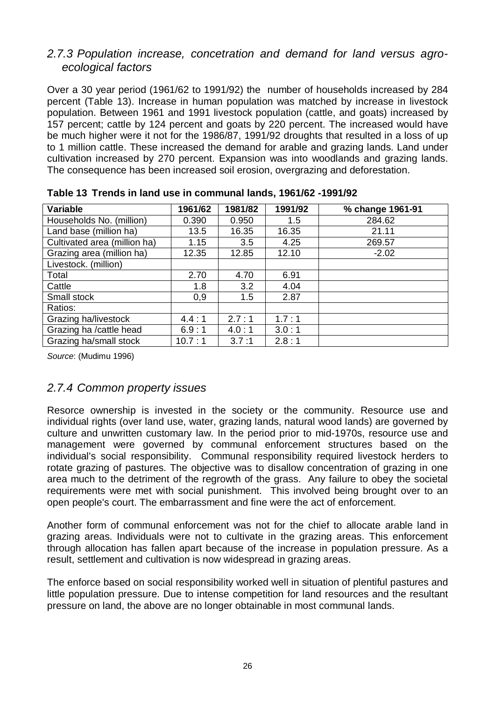#### *2.7.3 Population increase, concetration and demand for land versus agroecological factors*

Over a 30 year period (1961/62 to 1991/92) the number of households increased by 284 percent (Table 13). Increase in human population was matched by increase in livestock population. Between 1961 and 1991 livestock population (cattle, and goats) increased by 157 percent; cattle by 124 percent and goats by 220 percent. The increased would have be much higher were it not for the 1986/87, 1991/92 droughts that resulted in a loss of up to 1 million cattle. These increased the demand for arable and grazing lands. Land under cultivation increased by 270 percent. Expansion was into woodlands and grazing lands. The consequence has been increased soil erosion, overgrazing and deforestation.

| <b>Variable</b>              | 1961/62 | 1981/82 | 1991/92 | % change 1961-91 |
|------------------------------|---------|---------|---------|------------------|
| Households No. (million)     | 0.390   | 0.950   | 1.5     | 284.62           |
| Land base (million ha)       | 13.5    | 16.35   | 16.35   | 21.11            |
| Cultivated area (million ha) | 1.15    | 3.5     | 4.25    | 269.57           |
| Grazing area (million ha)    | 12.35   | 12.85   | 12.10   | $-2.02$          |
| Livestock. (million)         |         |         |         |                  |
| Total                        | 2.70    | 4.70    | 6.91    |                  |
| Cattle                       | 1.8     | 3.2     | 4.04    |                  |
| Small stock                  | 0,9     | 1.5     | 2.87    |                  |
| Ratios:                      |         |         |         |                  |
| Grazing ha/livestock         | 4.4:1   | 2.7:1   | 1.7:1   |                  |
| Grazing ha / cattle head     | 6.9:1   | 4.0:1   | 3.0:1   |                  |
| Grazing ha/small stock       | 10.7:1  | 3.7:1   | 2.8:1   |                  |

**Table 13 Trends in land use in communal lands, 1961/62 -1991/92** 

*Source*: (Mudimu 1996)

## *2.7.4 Common property issues*

Resorce ownership is invested in the society or the community. Resource use and individual rights (over land use, water, grazing lands, natural wood lands) are governed by culture and unwritten customary law. In the period prior to mid-1970s, resource use and management were governed by communal enforcement structures based on the individual's social responsibility. Communal responsibility required livestock herders to rotate grazing of pastures. The objective was to disallow concentration of grazing in one area much to the detriment of the regrowth of the grass. Any failure to obey the societal requirements were met with social punishment. This involved being brought over to an open people's court. The embarrassment and fine were the act of enforcement.

Another form of communal enforcement was not for the chief to allocate arable land in grazing areas. Individuals were not to cultivate in the grazing areas. This enforcement through allocation has fallen apart because of the increase in population pressure. As a result, settlement and cultivation is now widespread in grazing areas.

The enforce based on social responsibility worked well in situation of plentiful pastures and little population pressure. Due to intense competition for land resources and the resultant pressure on land, the above are no longer obtainable in most communal lands.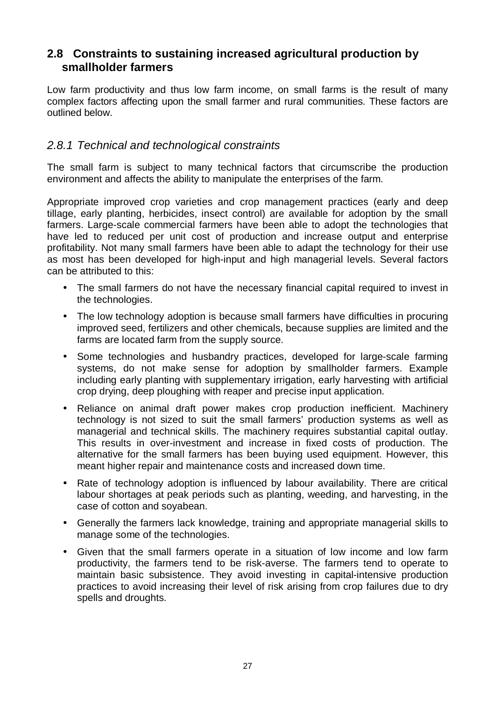### **2.8 Constraints to sustaining increased agricultural production by smallholder farmers**

Low farm productivity and thus low farm income, on small farms is the result of many complex factors affecting upon the small farmer and rural communities. These factors are outlined below.

### *2.8.1 Technical and technological constraints*

The small farm is subject to many technical factors that circumscribe the production environment and affects the ability to manipulate the enterprises of the farm.

Appropriate improved crop varieties and crop management practices (early and deep tillage, early planting, herbicides, insect control) are available for adoption by the small farmers. Large-scale commercial farmers have been able to adopt the technologies that have led to reduced per unit cost of production and increase output and enterprise profitability. Not many small farmers have been able to adapt the technology for their use as most has been developed for high-input and high managerial levels. Several factors can be attributed to this:

- The small farmers do not have the necessary financial capital required to invest in the technologies.
- The low technology adoption is because small farmers have difficulties in procuring improved seed, fertilizers and other chemicals, because supplies are limited and the farms are located farm from the supply source.
- Some technologies and husbandry practices, developed for large-scale farming systems, do not make sense for adoption by smallholder farmers. Example including early planting with supplementary irrigation, early harvesting with artificial crop drying, deep ploughing with reaper and precise input application.
- Reliance on animal draft power makes crop production inefficient. Machinery technology is not sized to suit the small farmers' production systems as well as managerial and technical skills. The machinery requires substantial capital outlay. This results in over-investment and increase in fixed costs of production. The alternative for the small farmers has been buying used equipment. However, this meant higher repair and maintenance costs and increased down time.
- Rate of technology adoption is influenced by labour availability. There are critical labour shortages at peak periods such as planting, weeding, and harvesting, in the case of cotton and soyabean.
- Generally the farmers lack knowledge, training and appropriate managerial skills to manage some of the technologies.
- Given that the small farmers operate in a situation of low income and low farm productivity, the farmers tend to be risk-averse. The farmers tend to operate to maintain basic subsistence. They avoid investing in capital-intensive production practices to avoid increasing their level of risk arising from crop failures due to dry spells and droughts.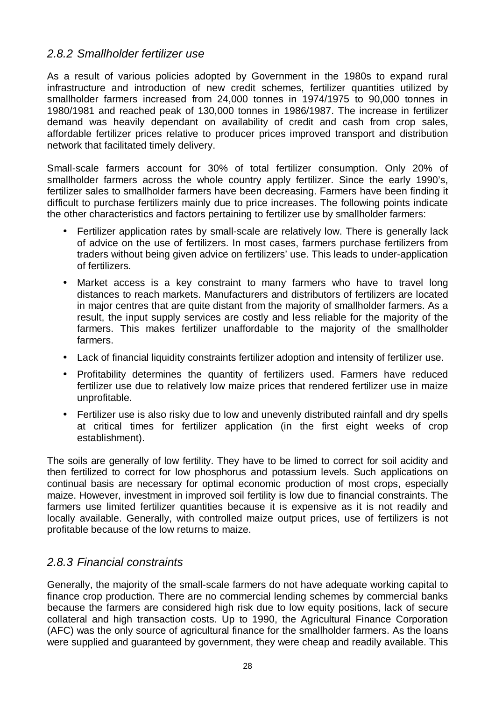### *2.8.2 Smallholder fertilizer use*

As a result of various policies adopted by Government in the 1980s to expand rural infrastructure and introduction of new credit schemes, fertilizer quantities utilized by smallholder farmers increased from 24,000 tonnes in 1974/1975 to 90,000 tonnes in 1980/1981 and reached peak of 130,000 tonnes in 1986/1987. The increase in fertilizer demand was heavily dependant on availability of credit and cash from crop sales, affordable fertilizer prices relative to producer prices improved transport and distribution network that facilitated timely delivery.

Small-scale farmers account for 30% of total fertilizer consumption. Only 20% of smallholder farmers across the whole country apply fertilizer. Since the early 1990's, fertilizer sales to smallholder farmers have been decreasing. Farmers have been finding it difficult to purchase fertilizers mainly due to price increases. The following points indicate the other characteristics and factors pertaining to fertilizer use by smallholder farmers:

- Fertilizer application rates by small-scale are relatively low. There is generally lack of advice on the use of fertilizers. In most cases, farmers purchase fertilizers from traders without being given advice on fertilizers' use. This leads to under-application of fertilizers.
- Market access is a key constraint to many farmers who have to travel long distances to reach markets. Manufacturers and distributors of fertilizers are located in major centres that are quite distant from the majority of smallholder farmers. As a result, the input supply services are costly and less reliable for the majority of the farmers. This makes fertilizer unaffordable to the majority of the smallholder farmers.
- Lack of financial liquidity constraints fertilizer adoption and intensity of fertilizer use.
- Profitability determines the quantity of fertilizers used. Farmers have reduced fertilizer use due to relatively low maize prices that rendered fertilizer use in maize unprofitable.
- Fertilizer use is also risky due to low and unevenly distributed rainfall and dry spells at critical times for fertilizer application (in the first eight weeks of crop establishment).

The soils are generally of low fertility. They have to be limed to correct for soil acidity and then fertilized to correct for low phosphorus and potassium levels. Such applications on continual basis are necessary for optimal economic production of most crops, especially maize. However, investment in improved soil fertility is low due to financial constraints. The farmers use limited fertilizer quantities because it is expensive as it is not readily and locally available. Generally, with controlled maize output prices, use of fertilizers is not profitable because of the low returns to maize.

### *2.8.3 Financial constraints*

Generally, the majority of the small-scale farmers do not have adequate working capital to finance crop production. There are no commercial lending schemes by commercial banks because the farmers are considered high risk due to low equity positions, lack of secure collateral and high transaction costs. Up to 1990, the Agricultural Finance Corporation (AFC) was the only source of agricultural finance for the smallholder farmers. As the loans were supplied and guaranteed by government, they were cheap and readily available. This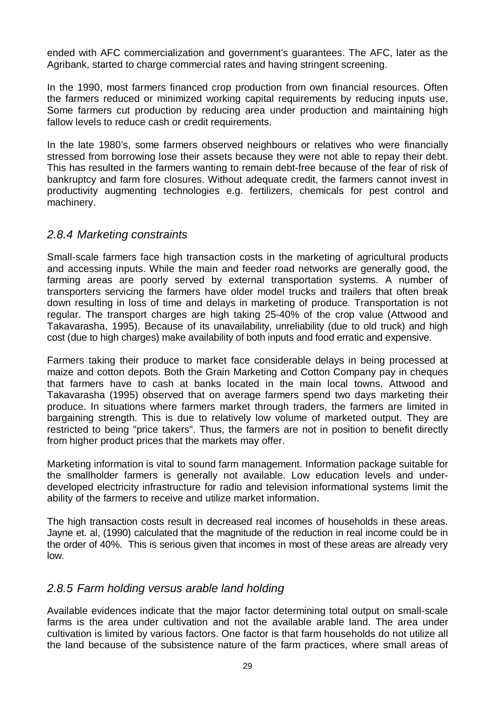ended with AFC commercialization and government's guarantees. The AFC, later as the Agribank, started to charge commercial rates and having stringent screening.

In the 1990, most farmers financed crop production from own financial resources. Often the farmers reduced or minimized working capital requirements by reducing inputs use. Some farmers cut production by reducing area under production and maintaining high fallow levels to reduce cash or credit requirements.

In the late 1980's, some farmers observed neighbours or relatives who were financially stressed from borrowing lose their assets because they were not able to repay their debt. This has resulted in the farmers wanting to remain debt-free because of the fear of risk of bankruptcy and farm fore closures. Without adequate credit, the farmers cannot invest in productivity augmenting technologies e.g. fertilizers, chemicals for pest control and machinery.

#### *2.8.4 Marketing constraints*

Small-scale farmers face high transaction costs in the marketing of agricultural products and accessing inputs. While the main and feeder road networks are generally good, the farming areas are poorly served by external transportation systems. A number of transporters servicing the farmers have older model trucks and trailers that often break down resulting in loss of time and delays in marketing of produce. Transportation is not regular. The transport charges are high taking 25-40% of the crop value (Attwood and Takavarasha, 1995). Because of its unavailability, unreliability (due to old truck) and high cost (due to high charges) make availability of both inputs and food erratic and expensive.

Farmers taking their produce to market face considerable delays in being processed at maize and cotton depots. Both the Grain Marketing and Cotton Company pay in cheques that farmers have to cash at banks located in the main local towns. Attwood and Takavarasha (1995) observed that on average farmers spend two days marketing their produce. In situations where farmers market through traders, the farmers are limited in bargaining strength. This is due to relatively low volume of marketed output. They are restricted to being "price takers". Thus, the farmers are not in position to benefit directly from higher product prices that the markets may offer.

Marketing information is vital to sound farm management. Information package suitable for the smallholder farmers is generally not available. Low education levels and underdeveloped electricity infrastructure for radio and television informational systems limit the ability of the farmers to receive and utilize market information.

The high transaction costs result in decreased real incomes of households in these areas. Jayne et. al, (1990) calculated that the magnitude of the reduction in real income could be in the order of 40%. This is serious given that incomes in most of these areas are already very low.

### *2.8.5 Farm holding versus arable land holding*

Available evidences indicate that the major factor determining total output on small-scale farms is the area under cultivation and not the available arable land. The area under cultivation is limited by various factors. One factor is that farm households do not utilize all the land because of the subsistence nature of the farm practices, where small areas of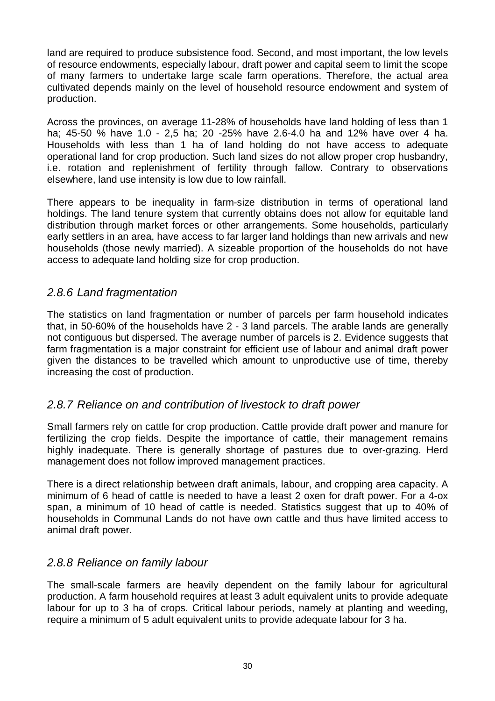land are required to produce subsistence food. Second, and most important, the low levels of resource endowments, especially labour, draft power and capital seem to limit the scope of many farmers to undertake large scale farm operations. Therefore, the actual area cultivated depends mainly on the level of household resource endowment and system of production.

Across the provinces, on average 11-28% of households have land holding of less than 1 ha; 45-50 % have 1.0 - 2,5 ha; 20 -25% have 2.6-4.0 ha and 12% have over 4 ha. Households with less than 1 ha of land holding do not have access to adequate operational land for crop production. Such land sizes do not allow proper crop husbandry, i.e. rotation and replenishment of fertility through fallow. Contrary to observations elsewhere, land use intensity is low due to low rainfall.

There appears to be inequality in farm-size distribution in terms of operational land holdings. The land tenure system that currently obtains does not allow for equitable land distribution through market forces or other arrangements. Some households, particularly early settlers in an area, have access to far larger land holdings than new arrivals and new households (those newly married). A sizeable proportion of the households do not have access to adequate land holding size for crop production.

## *2.8.6 Land fragmentation*

The statistics on land fragmentation or number of parcels per farm household indicates that, in 50-60% of the households have 2 - 3 land parcels. The arable lands are generally not contiguous but dispersed. The average number of parcels is 2. Evidence suggests that farm fragmentation is a major constraint for efficient use of labour and animal draft power given the distances to be travelled which amount to unproductive use of time, thereby increasing the cost of production.

### *2.8.7 Reliance on and contribution of livestock to draft power*

Small farmers rely on cattle for crop production. Cattle provide draft power and manure for fertilizing the crop fields. Despite the importance of cattle, their management remains highly inadequate. There is generally shortage of pastures due to over-grazing. Herd management does not follow improved management practices.

There is a direct relationship between draft animals, labour, and cropping area capacity. A minimum of 6 head of cattle is needed to have a least 2 oxen for draft power. For a 4-ox span, a minimum of 10 head of cattle is needed. Statistics suggest that up to 40% of households in Communal Lands do not have own cattle and thus have limited access to animal draft power.

### *2.8.8 Reliance on family labour*

The small-scale farmers are heavily dependent on the family labour for agricultural production. A farm household requires at least 3 adult equivalent units to provide adequate labour for up to 3 ha of crops. Critical labour periods, namely at planting and weeding, require a minimum of 5 adult equivalent units to provide adequate labour for 3 ha.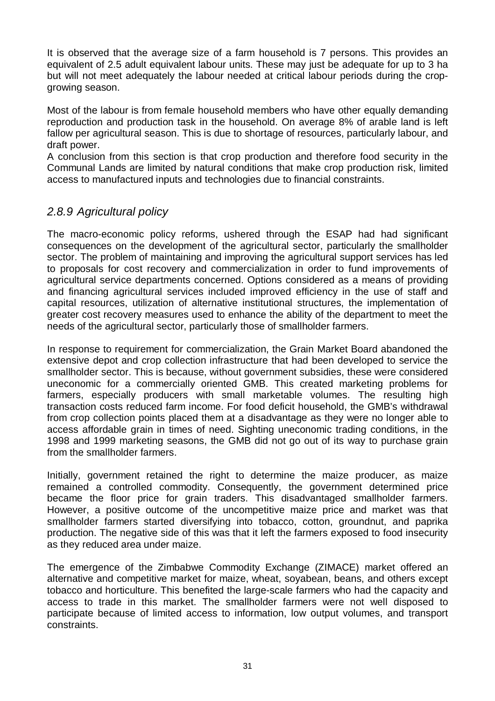It is observed that the average size of a farm household is 7 persons. This provides an equivalent of 2.5 adult equivalent labour units. These may just be adequate for up to 3 ha but will not meet adequately the labour needed at critical labour periods during the cropgrowing season.

Most of the labour is from female household members who have other equally demanding reproduction and production task in the household. On average 8% of arable land is left fallow per agricultural season. This is due to shortage of resources, particularly labour, and draft power.

A conclusion from this section is that crop production and therefore food security in the Communal Lands are limited by natural conditions that make crop production risk, limited access to manufactured inputs and technologies due to financial constraints.

## *2.8.9 Agricultural policy*

The macro-economic policy reforms, ushered through the ESAP had had significant consequences on the development of the agricultural sector, particularly the smallholder sector. The problem of maintaining and improving the agricultural support services has led to proposals for cost recovery and commercialization in order to fund improvements of agricultural service departments concerned. Options considered as a means of providing and financing agricultural services included improved efficiency in the use of staff and capital resources, utilization of alternative institutional structures, the implementation of greater cost recovery measures used to enhance the ability of the department to meet the needs of the agricultural sector, particularly those of smallholder farmers.

In response to requirement for commercialization, the Grain Market Board abandoned the extensive depot and crop collection infrastructure that had been developed to service the smallholder sector. This is because, without government subsidies, these were considered uneconomic for a commercially oriented GMB. This created marketing problems for farmers, especially producers with small marketable volumes. The resulting high transaction costs reduced farm income. For food deficit household, the GMB's withdrawal from crop collection points placed them at a disadvantage as they were no longer able to access affordable grain in times of need. Sighting uneconomic trading conditions, in the 1998 and 1999 marketing seasons, the GMB did not go out of its way to purchase grain from the smallholder farmers.

Initially, government retained the right to determine the maize producer, as maize remained a controlled commodity. Consequently, the government determined price became the floor price for grain traders. This disadvantaged smallholder farmers. However, a positive outcome of the uncompetitive maize price and market was that smallholder farmers started diversifying into tobacco, cotton, groundnut, and paprika production. The negative side of this was that it left the farmers exposed to food insecurity as they reduced area under maize.

The emergence of the Zimbabwe Commodity Exchange (ZIMACE) market offered an alternative and competitive market for maize, wheat, soyabean, beans, and others except tobacco and horticulture. This benefited the large-scale farmers who had the capacity and access to trade in this market. The smallholder farmers were not well disposed to participate because of limited access to information, low output volumes, and transport constraints.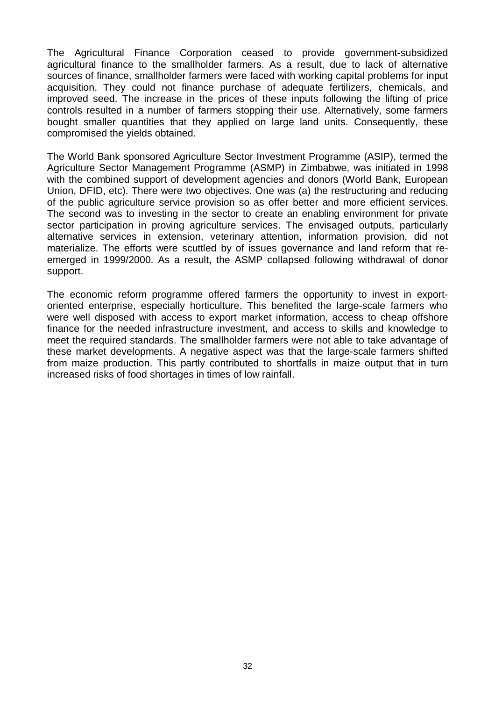The Agricultural Finance Corporation ceased to provide government-subsidized agricultural finance to the smallholder farmers. As a result, due to lack of alternative sources of finance, smallholder farmers were faced with working capital problems for input acquisition. They could not finance purchase of adequate fertilizers, chemicals, and improved seed. The increase in the prices of these inputs following the lifting of price controls resulted in a number of farmers stopping their use. Alternatively, some farmers bought smaller quantities that they applied on large land units. Consequently, these compromised the yields obtained.

The World Bank sponsored Agriculture Sector Investment Programme (ASIP), termed the Agriculture Sector Management Programme (ASMP) in Zimbabwe, was initiated in 1998 with the combined support of development agencies and donors (World Bank, European Union, DFID, etc). There were two objectives. One was (a) the restructuring and reducing of the public agriculture service provision so as offer better and more efficient services. The second was to investing in the sector to create an enabling environment for private sector participation in proving agriculture services. The envisaged outputs, particularly alternative services in extension, veterinary attention, information provision, did not materialize. The efforts were scuttled by of issues governance and land reform that reemerged in 1999/2000. As a result, the ASMP collapsed following withdrawal of donor support.

The economic reform programme offered farmers the opportunity to invest in exportoriented enterprise, especially horticulture. This benefited the large-scale farmers who were well disposed with access to export market information, access to cheap offshore finance for the needed infrastructure investment, and access to skills and knowledge to meet the required standards. The smallholder farmers were not able to take advantage of these market developments. A negative aspect was that the large-scale farmers shifted from maize production. This partly contributed to shortfalls in maize output that in turn increased risks of food shortages in times of low rainfall.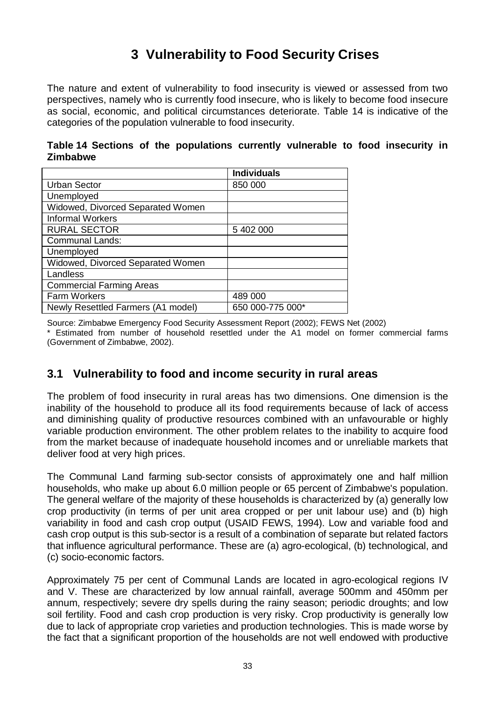# **3 Vulnerability to Food Security Crises**

The nature and extent of vulnerability to food insecurity is viewed or assessed from two perspectives, namely who is currently food insecure, who is likely to become food insecure as social, economic, and political circumstances deteriorate. Table 14 is indicative of the categories of the population vulnerable to food insecurity.

**Table 14 Sections of the populations currently vulnerable to food insecurity in Zimbabwe** 

|                                    | <b>Individuals</b> |
|------------------------------------|--------------------|
| <b>Urban Sector</b>                | 850 000            |
| Unemployed                         |                    |
| Widowed, Divorced Separated Women  |                    |
| <b>Informal Workers</b>            |                    |
| <b>RURAL SECTOR</b>                | 5 402 000          |
| <b>Communal Lands:</b>             |                    |
| Unemployed                         |                    |
| Widowed, Divorced Separated Women  |                    |
| Landless                           |                    |
| <b>Commercial Farming Areas</b>    |                    |
| Farm Workers                       | 489 000            |
| Newly Resettled Farmers (A1 model) | 650 000-775 000*   |

Source: Zimbabwe Emergency Food Security Assessment Report (2002); FEWS Net (2002) \* Estimated from number of household resettled under the A1 model on former commercial farms (Government of Zimbabwe, 2002).

## **3.1 Vulnerability to food and income security in rural areas**

The problem of food insecurity in rural areas has two dimensions. One dimension is the inability of the household to produce all its food requirements because of lack of access and diminishing quality of productive resources combined with an unfavourable or highly variable production environment. The other problem relates to the inability to acquire food from the market because of inadequate household incomes and or unreliable markets that deliver food at very high prices.

The Communal Land farming sub-sector consists of approximately one and half million households, who make up about 6.0 million people or 65 percent of Zimbabwe's population. The general welfare of the majority of these households is characterized by (a) generally low crop productivity (in terms of per unit area cropped or per unit labour use) and (b) high variability in food and cash crop output (USAID FEWS, 1994). Low and variable food and cash crop output is this sub-sector is a result of a combination of separate but related factors that influence agricultural performance. These are (a) agro-ecological, (b) technological, and (c) socio-economic factors.

Approximately 75 per cent of Communal Lands are located in agro-ecological regions IV and V. These are characterized by low annual rainfall, average 500mm and 450mm per annum, respectively; severe dry spells during the rainy season; periodic droughts; and low soil fertility. Food and cash crop production is very risky. Crop productivity is generally low due to lack of appropriate crop varieties and production technologies. This is made worse by the fact that a significant proportion of the households are not well endowed with productive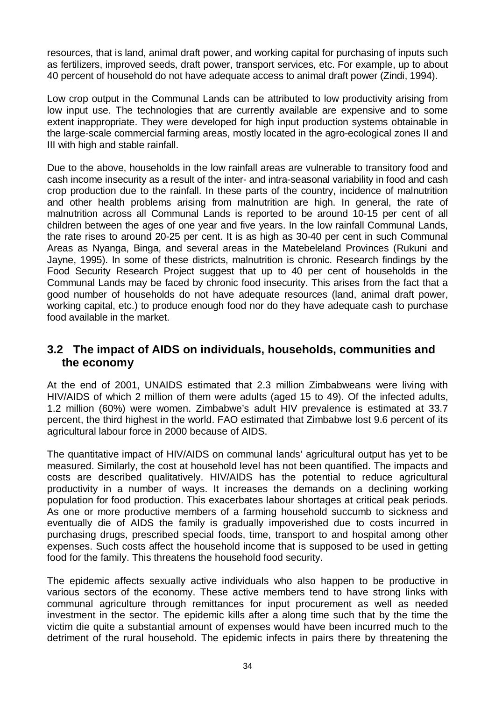resources, that is land, animal draft power, and working capital for purchasing of inputs such as fertilizers, improved seeds, draft power, transport services, etc. For example, up to about 40 percent of household do not have adequate access to animal draft power (Zindi, 1994).

Low crop output in the Communal Lands can be attributed to low productivity arising from low input use. The technologies that are currently available are expensive and to some extent inappropriate. They were developed for high input production systems obtainable in the large-scale commercial farming areas, mostly located in the agro-ecological zones II and III with high and stable rainfall.

Due to the above, households in the low rainfall areas are vulnerable to transitory food and cash income insecurity as a result of the inter- and intra-seasonal variability in food and cash crop production due to the rainfall. In these parts of the country, incidence of malnutrition and other health problems arising from malnutrition are high. In general, the rate of malnutrition across all Communal Lands is reported to be around 10-15 per cent of all children between the ages of one year and five years. In the low rainfall Communal Lands, the rate rises to around 20-25 per cent. It is as high as 30-40 per cent in such Communal Areas as Nyanga, Binga, and several areas in the Matebeleland Provinces (Rukuni and Jayne, 1995). In some of these districts, malnutrition is chronic. Research findings by the Food Security Research Project suggest that up to 40 per cent of households in the Communal Lands may be faced by chronic food insecurity. This arises from the fact that a good number of households do not have adequate resources (land, animal draft power, working capital, etc.) to produce enough food nor do they have adequate cash to purchase food available in the market.

## **3.2 The impact of AIDS on individuals, households, communities and the economy**

At the end of 2001, UNAIDS estimated that 2.3 million Zimbabweans were living with HIV/AIDS of which 2 million of them were adults (aged 15 to 49). Of the infected adults, 1.2 million (60%) were women. Zimbabwe's adult HIV prevalence is estimated at 33.7 percent, the third highest in the world. FAO estimated that Zimbabwe lost 9.6 percent of its agricultural labour force in 2000 because of AIDS.

The quantitative impact of HIV/AIDS on communal lands' agricultural output has yet to be measured. Similarly, the cost at household level has not been quantified. The impacts and costs are described qualitatively. HIV/AIDS has the potential to reduce agricultural productivity in a number of ways. It increases the demands on a declining working population for food production. This exacerbates labour shortages at critical peak periods. As one or more productive members of a farming household succumb to sickness and eventually die of AIDS the family is gradually impoverished due to costs incurred in purchasing drugs, prescribed special foods, time, transport to and hospital among other expenses. Such costs affect the household income that is supposed to be used in getting food for the family. This threatens the household food security.

The epidemic affects sexually active individuals who also happen to be productive in various sectors of the economy. These active members tend to have strong links with communal agriculture through remittances for input procurement as well as needed investment in the sector. The epidemic kills after a along time such that by the time the victim die quite a substantial amount of expenses would have been incurred much to the detriment of the rural household. The epidemic infects in pairs there by threatening the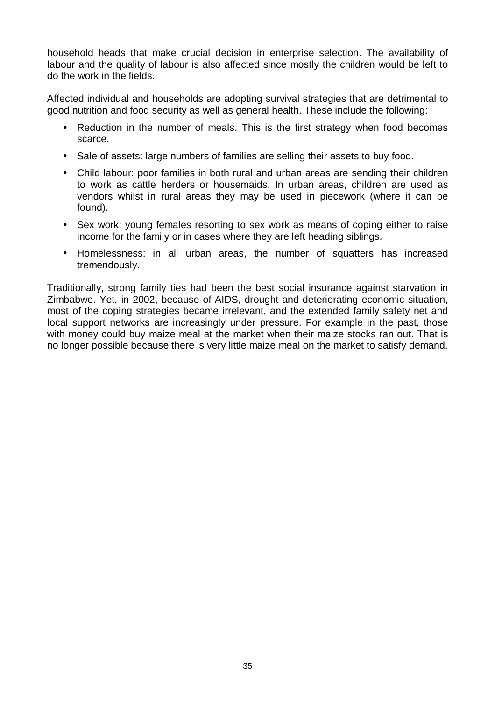household heads that make crucial decision in enterprise selection. The availability of labour and the quality of labour is also affected since mostly the children would be left to do the work in the fields.

Affected individual and households are adopting survival strategies that are detrimental to good nutrition and food security as well as general health. These include the following:

- Reduction in the number of meals. This is the first strategy when food becomes scarce.
- Sale of assets: large numbers of families are selling their assets to buy food.
- Child labour: poor families in both rural and urban areas are sending their children to work as cattle herders or housemaids. In urban areas, children are used as vendors whilst in rural areas they may be used in piecework (where it can be found).
- Sex work: young females resorting to sex work as means of coping either to raise income for the family or in cases where they are left heading siblings.
- Homelessness: in all urban areas, the number of squatters has increased tremendously.

Traditionally, strong family ties had been the best social insurance against starvation in Zimbabwe. Yet, in 2002, because of AIDS, drought and deteriorating economic situation, most of the coping strategies became irrelevant, and the extended family safety net and local support networks are increasingly under pressure. For example in the past, those with money could buy maize meal at the market when their maize stocks ran out. That is no longer possible because there is very little maize meal on the market to satisfy demand.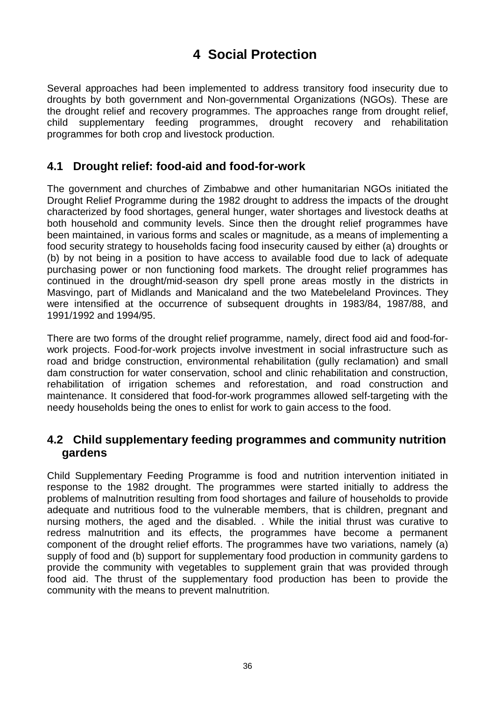# **4 Social Protection**

Several approaches had been implemented to address transitory food insecurity due to droughts by both government and Non-governmental Organizations (NGOs). These are the drought relief and recovery programmes. The approaches range from drought relief, child supplementary feeding programmes, drought recovery and rehabilitation programmes for both crop and livestock production.

## **4.1 Drought relief: food-aid and food-for-work**

The government and churches of Zimbabwe and other humanitarian NGOs initiated the Drought Relief Programme during the 1982 drought to address the impacts of the drought characterized by food shortages, general hunger, water shortages and livestock deaths at both household and community levels. Since then the drought relief programmes have been maintained, in various forms and scales or magnitude, as a means of implementing a food security strategy to households facing food insecurity caused by either (a) droughts or (b) by not being in a position to have access to available food due to lack of adequate purchasing power or non functioning food markets. The drought relief programmes has continued in the drought/mid-season dry spell prone areas mostly in the districts in Masvingo, part of Midlands and Manicaland and the two Matebeleland Provinces. They were intensified at the occurrence of subsequent droughts in 1983/84, 1987/88, and 1991/1992 and 1994/95.

There are two forms of the drought relief programme, namely, direct food aid and food-forwork projects. Food-for-work projects involve investment in social infrastructure such as road and bridge construction, environmental rehabilitation (gully reclamation) and small dam construction for water conservation, school and clinic rehabilitation and construction, rehabilitation of irrigation schemes and reforestation, and road construction and maintenance. It considered that food-for-work programmes allowed self-targeting with the needy households being the ones to enlist for work to gain access to the food.

### **4.2 Child supplementary feeding programmes and community nutrition gardens**

Child Supplementary Feeding Programme is food and nutrition intervention initiated in response to the 1982 drought. The programmes were started initially to address the problems of malnutrition resulting from food shortages and failure of households to provide adequate and nutritious food to the vulnerable members, that is children, pregnant and nursing mothers, the aged and the disabled. . While the initial thrust was curative to redress malnutrition and its effects, the programmes have become a permanent component of the drought relief efforts. The programmes have two variations, namely (a) supply of food and (b) support for supplementary food production in community gardens to provide the community with vegetables to supplement grain that was provided through food aid. The thrust of the supplementary food production has been to provide the community with the means to prevent malnutrition.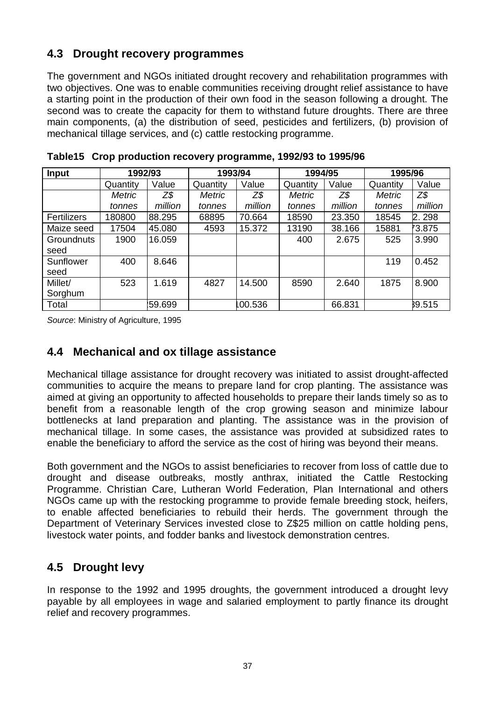## **4.3 Drought recovery programmes**

The government and NGOs initiated drought recovery and rehabilitation programmes with two objectives. One was to enable communities receiving drought relief assistance to have a starting point in the production of their own food in the season following a drought. The second was to create the capacity for them to withstand future droughts. There are three main components, (a) the distribution of seed, pesticides and fertilizers, (b) provision of mechanical tillage services, and (c) cattle restocking programme.

| <b>Input</b> | 1992/93       |         | 1993/94       |         | 1994/95       |         | 1995/96       |         |
|--------------|---------------|---------|---------------|---------|---------------|---------|---------------|---------|
|              | Quantity      | Value   | Quantity      | Value   | Quantity      | Value   | Quantity      | Value   |
|              | <b>Metric</b> | Z\$     | <b>Metric</b> | Z\$     | <b>Metric</b> | Z\$     | <b>Metric</b> | Z\$     |
|              | tonnes        | million | tonnes        | million | tonnes        | million | tonnes        | million |
| Fertilizers  | 180800        | 88.295  | 68895         | 70.664  | 18590         | 23.350  | 18545         | 2.298   |
| Maize seed   | 17504         | 45.080  | 4593          | 15.372  | 13190         | 38.166  | 15881         | 73.875  |
| Groundnuts   | 1900          | 16.059  |               |         | 400           | 2.675   | 525           | 3.990   |
| seed         |               |         |               |         |               |         |               |         |
| Sunflower    | 400           | 8.646   |               |         |               |         | 119           | 0.452   |
| seed         |               |         |               |         |               |         |               |         |
| Millet/      | 523           | 1.619   | 4827          | 14.500  | 8590          | 2.640   | 1875          | 8.900   |
| Sorghum      |               |         |               |         |               |         |               |         |
| Total        |               | :59.699 |               | 00.536  |               | 66.831  |               | 39.515  |

**Table15 Crop production recovery programme, 1992/93 to 1995/96** 

*Source*: Ministry of Agriculture, 1995

## **4.4 Mechanical and ox tillage assistance**

Mechanical tillage assistance for drought recovery was initiated to assist drought-affected communities to acquire the means to prepare land for crop planting. The assistance was aimed at giving an opportunity to affected households to prepare their lands timely so as to benefit from a reasonable length of the crop growing season and minimize labour bottlenecks at land preparation and planting. The assistance was in the provision of mechanical tillage. In some cases, the assistance was provided at subsidized rates to enable the beneficiary to afford the service as the cost of hiring was beyond their means.

Both government and the NGOs to assist beneficiaries to recover from loss of cattle due to drought and disease outbreaks, mostly anthrax, initiated the Cattle Restocking Programme. Christian Care, Lutheran World Federation, Plan International and others NGOs came up with the restocking programme to provide female breeding stock, heifers, to enable affected beneficiaries to rebuild their herds. The government through the Department of Veterinary Services invested close to Z\$25 million on cattle holding pens, livestock water points, and fodder banks and livestock demonstration centres.

## **4.5 Drought levy**

In response to the 1992 and 1995 droughts, the government introduced a drought levy payable by all employees in wage and salaried employment to partly finance its drought relief and recovery programmes.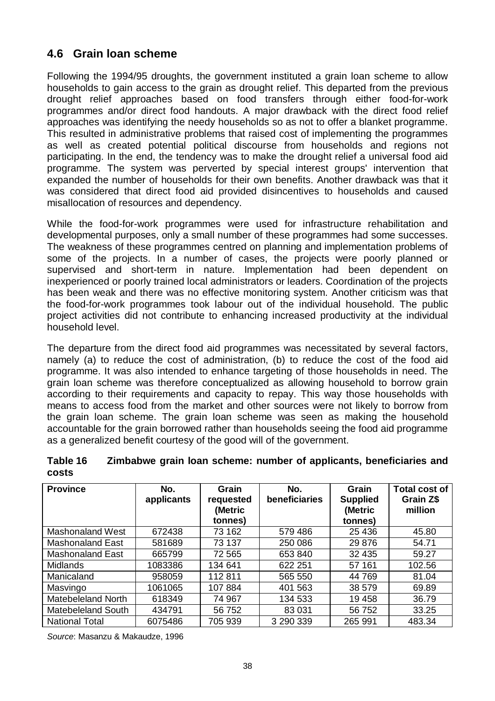## **4.6 Grain loan scheme**

Following the 1994/95 droughts, the government instituted a grain loan scheme to allow households to gain access to the grain as drought relief. This departed from the previous drought relief approaches based on food transfers through either food-for-work programmes and/or direct food handouts. A major drawback with the direct food relief approaches was identifying the needy households so as not to offer a blanket programme. This resulted in administrative problems that raised cost of implementing the programmes as well as created potential political discourse from households and regions not participating. In the end, the tendency was to make the drought relief a universal food aid programme. The system was perverted by special interest groups' intervention that expanded the number of households for their own benefits. Another drawback was that it was considered that direct food aid provided disincentives to households and caused misallocation of resources and dependency.

While the food-for-work programmes were used for infrastructure rehabilitation and developmental purposes, only a small number of these programmes had some successes. The weakness of these programmes centred on planning and implementation problems of some of the projects. In a number of cases, the projects were poorly planned or supervised and short-term in nature. Implementation had been dependent on inexperienced or poorly trained local administrators or leaders. Coordination of the projects has been weak and there was no effective monitoring system. Another criticism was that the food-for-work programmes took labour out of the individual household. The public project activities did not contribute to enhancing increased productivity at the individual household level.

The departure from the direct food aid programmes was necessitated by several factors, namely (a) to reduce the cost of administration, (b) to reduce the cost of the food aid programme. It was also intended to enhance targeting of those households in need. The grain loan scheme was therefore conceptualized as allowing household to borrow grain according to their requirements and capacity to repay. This way those households with means to access food from the market and other sources were not likely to borrow from the grain loan scheme. The grain loan scheme was seen as making the household accountable for the grain borrowed rather than households seeing the food aid programme as a generalized benefit courtesy of the good will of the government.

| Table 16 | Zimbabwe grain loan scheme: number of applicants, beneficiaries and |
|----------|---------------------------------------------------------------------|
| costs    |                                                                     |

| <b>Province</b>           | No.<br>applicants | Grain<br>requested<br>(Metric | No.<br>beneficiaries | Grain<br><b>Supplied</b><br>(Metric | <b>Total cost of</b><br>Grain Z\$<br>million |
|---------------------------|-------------------|-------------------------------|----------------------|-------------------------------------|----------------------------------------------|
|                           |                   | tonnes)                       |                      | tonnes)                             |                                              |
| <b>Mashonaland West</b>   | 672438            | 73 162                        | 579 486              | 25 4 36                             | 45.80                                        |
| Mashonaland East          | 581689            | 73 137                        | 250 086              | 29 876                              | 54.71                                        |
| <b>Mashonaland East</b>   | 665799            | 72 565                        | 653 840              | 32 4 35                             | 59.27                                        |
| <b>Midlands</b>           | 1083386           | 134 641                       | 622 251              | 57 161                              | 102.56                                       |
| Manicaland                | 958059            | 112 811                       | 565 550              | 44 769                              | 81.04                                        |
| Masvingo                  | 1061065           | 107884                        | 401 563              | 38 579                              | 69.89                                        |
| Matebeleland North        | 618349            | 74 967                        | 134 533              | 19 458                              | 36.79                                        |
| <b>Matebeleland South</b> | 434791            | 56 752                        | 83 0 31              | 56 752                              | 33.25                                        |
| <b>National Total</b>     | 6075486           | 705 939                       | 3 290 339            | 265 991                             | 483.34                                       |

*Source*: Masanzu & Makaudze, 1996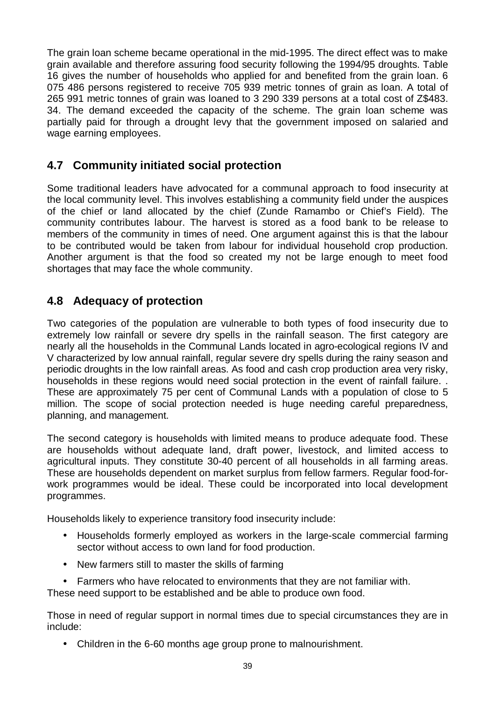The grain loan scheme became operational in the mid-1995. The direct effect was to make grain available and therefore assuring food security following the 1994/95 droughts. Table 16 gives the number of households who applied for and benefited from the grain loan. 6 075 486 persons registered to receive 705 939 metric tonnes of grain as loan. A total of 265 991 metric tonnes of grain was loaned to 3 290 339 persons at a total cost of Z\$483. 34. The demand exceeded the capacity of the scheme. The grain loan scheme was partially paid for through a drought levy that the government imposed on salaried and wage earning employees.

## **4.7 Community initiated social protection**

Some traditional leaders have advocated for a communal approach to food insecurity at the local community level. This involves establishing a community field under the auspices of the chief or land allocated by the chief (Zunde Ramambo or Chief's Field). The community contributes labour. The harvest is stored as a food bank to be release to members of the community in times of need. One argument against this is that the labour to be contributed would be taken from labour for individual household crop production. Another argument is that the food so created my not be large enough to meet food shortages that may face the whole community.

## **4.8 Adequacy of protection**

Two categories of the population are vulnerable to both types of food insecurity due to extremely low rainfall or severe dry spells in the rainfall season. The first category are nearly all the households in the Communal Lands located in agro-ecological regions IV and V characterized by low annual rainfall, regular severe dry spells during the rainy season and periodic droughts in the low rainfall areas. As food and cash crop production area very risky, households in these regions would need social protection in the event of rainfall failure. . These are approximately 75 per cent of Communal Lands with a population of close to 5 million. The scope of social protection needed is huge needing careful preparedness, planning, and management.

The second category is households with limited means to produce adequate food. These are households without adequate land, draft power, livestock, and limited access to agricultural inputs. They constitute 30-40 percent of all households in all farming areas. These are households dependent on market surplus from fellow farmers. Regular food-forwork programmes would be ideal. These could be incorporated into local development programmes.

Households likely to experience transitory food insecurity include:

- Households formerly employed as workers in the large-scale commercial farming sector without access to own land for food production.
- New farmers still to master the skills of farming
- Farmers who have relocated to environments that they are not familiar with.

These need support to be established and be able to produce own food.

Those in need of regular support in normal times due to special circumstances they are in include:

• Children in the 6-60 months age group prone to malnourishment.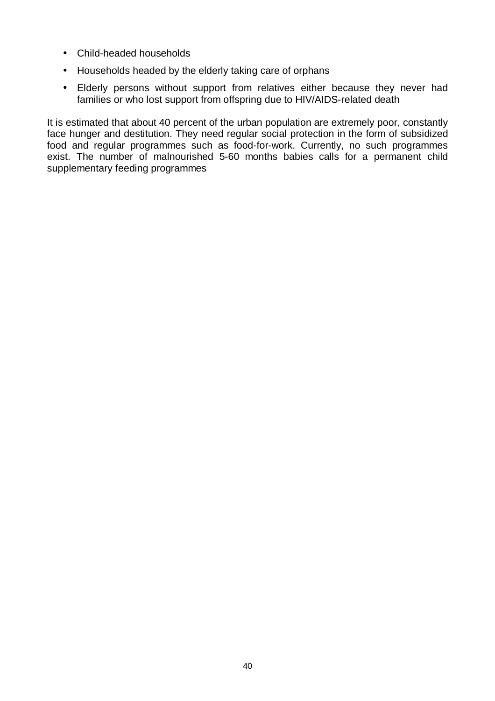- Child-headed households
- Households headed by the elderly taking care of orphans
- Elderly persons without support from relatives either because they never had families or who lost support from offspring due to HIV/AIDS-related death

It is estimated that about 40 percent of the urban population are extremely poor, constantly face hunger and destitution. They need regular social protection in the form of subsidized food and regular programmes such as food-for-work. Currently, no such programmes exist. The number of malnourished 5-60 months babies calls for a permanent child supplementary feeding programmes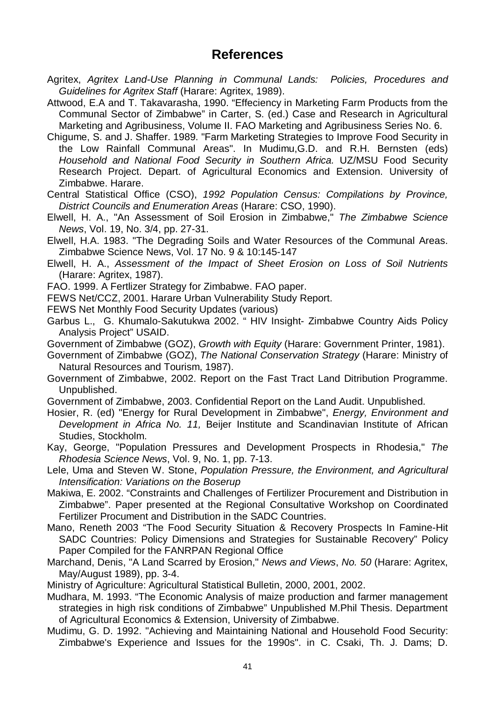## **References**

Agritex, *Agritex Land-Use Planning in Communal Lands: Policies, Procedures and Guidelines for Agritex Staff* (Harare: Agritex, 1989).

Attwood, E.A and T. Takavarasha, 1990. "Effeciency in Marketing Farm Products from the Communal Sector of Zimbabwe" in Carter, S. (ed.) Case and Research in Agricultural Marketing and Agribusiness, Volume II. FAO Marketing and Agribusiness Series No. 6.

- Chigume, S. and J. Shaffer. 1989. "Farm Marketing Strategies to Improve Food Security in the Low Rainfall Communal Areas". In Mudimu,G.D. and R.H. Bernsten (eds) *Household and National Food Security in Southern Africa.* UZ/MSU Food Security Research Project. Depart. of Agricultural Economics and Extension. University of Zimbabwe. Harare.
- Central Statistical Office (CSO), *1992 Population Census: Compilations by Province, District Councils and Enumeration Areas* (Harare: CSO, 1990).
- Elwell, H. A., "An Assessment of Soil Erosion in Zimbabwe," *The Zimbabwe Science News*, Vol. 19, No. 3/4, pp. 27-31.
- Elwell, H.A. 1983. "The Degrading Soils and Water Resources of the Communal Areas. Zimbabwe Science News, Vol. 17 No. 9 & 10:145-147
- Elwell, H. A., *Assessment of the Impact of Sheet Erosion on Loss of Soil Nutrients* (Harare: Agritex, 1987).
- FAO. 1999. A Fertlizer Strategy for Zimbabwe. FAO paper.
- FEWS Net/CCZ, 2001. Harare Urban Vulnerability Study Report.
- FEWS Net Monthly Food Security Updates (various)

Garbus L., G. Khumalo-Sakutukwa 2002. " HIV Insight- Zimbabwe Country Aids Policy Analysis Project" USAID.

- Government of Zimbabwe (GOZ), *Growth with Equity* (Harare: Government Printer, 1981).
- Government of Zimbabwe (GOZ), *The National Conservation Strategy* (Harare: Ministry of Natural Resources and Tourism, 1987).
- Government of Zimbabwe, 2002. Report on the Fast Tract Land Ditribution Programme. Unpublished.
- Government of Zimbabwe, 2003. Confidential Report on the Land Audit. Unpublished.
- Hosier, R. (ed) "Energy for Rural Development in Zimbabwe", *Energy, Environment and Development in Africa No. 11,* Beijer Institute and Scandinavian Institute of African Studies, Stockholm.
- Kay, George, "Population Pressures and Development Prospects in Rhodesia," *The Rhodesia Science News*, Vol. 9, No. 1, pp. 7-13.
- Lele, Uma and Steven W. Stone, *Population Pressure, the Environment, and Agricultural Intensification: Variations on the Boserup*
- Makiwa, E. 2002. "Constraints and Challenges of Fertilizer Procurement and Distribution in Zimbabwe". Paper presented at the Regional Consultative Workshop on Coordinated Fertilizer Procument and Distribution in the SADC Countries.
- Mano, Reneth 2003 "The Food Security Situation & Recovery Prospects In Famine-Hit SADC Countries: Policy Dimensions and Strategies for Sustainable Recovery" Policy Paper Compiled for the FANRPAN Regional Office
- Marchand, Denis, "A Land Scarred by Erosion," *News and Views*, *No. 50* (Harare: Agritex, May/August 1989), pp. 3-4.

Ministry of Agriculture: Agricultural Statistical Bulletin, 2000, 2001, 2002.

- Mudhara, M. 1993. "The Economic Analysis of maize production and farmer management strategies in high risk conditions of Zimbabwe" Unpublished M.Phil Thesis. Department of Agricultural Economics & Extension, University of Zimbabwe.
- Mudimu, G. D. 1992. "Achieving and Maintaining National and Household Food Security: Zimbabwe's Experience and Issues for the 1990s". in C. Csaki, Th. J. Dams; D.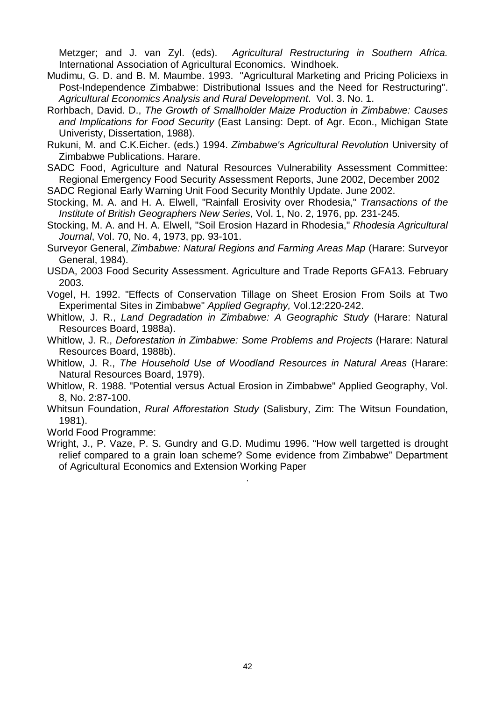Metzger; and J. van Zyl. (eds). *Agricultural Restructuring in Southern Africa.* International Association of Agricultural Economics. Windhoek.

- Mudimu, G. D. and B. M. Maumbe. 1993. "Agricultural Marketing and Pricing Policiexs in Post-Independence Zimbabwe: Distributional Issues and the Need for Restructuring". *Agricultural Economics Analysis and Rural Development*. Vol. 3. No. 1.
- Rorhbach, David. D., *The Growth of Smallholder Maize Production in Zimbabwe: Causes and Implications for Food Security* (East Lansing: Dept. of Agr. Econ., Michigan State Univeristy, Dissertation, 1988).
- Rukuni, M. and C.K.Eicher. (eds.) 1994. *Zimbabwe's Agricultural Revolution* University of Zimbabwe Publications. Harare.
- SADC Food, Agriculture and Natural Resources Vulnerability Assessment Committee: Regional Emergency Food Security Assessment Reports, June 2002, December 2002

SADC Regional Early Warning Unit Food Security Monthly Update. June 2002.

- Stocking, M. A. and H. A. Elwell, "Rainfall Erosivity over Rhodesia," *Transactions of the Institute of British Geographers New Series*, Vol. 1, No. 2, 1976, pp. 231-245.
- Stocking, M. A. and H. A. Elwell, "Soil Erosion Hazard in Rhodesia," *Rhodesia Agricultural Journal*, Vol. 70, No. 4, 1973, pp. 93-101.
- Surveyor General, *Zimbabwe: Natural Regions and Farming Areas Map* (Harare: Surveyor General, 1984).
- USDA, 2003 Food Security Assessment. Agriculture and Trade Reports GFA13. February 2003.
- Vogel, H. 1992. "Effects of Conservation Tillage on Sheet Erosion From Soils at Two Experimental Sites in Zimbabwe" *Applied Gegraphy,* Vol.12:220-242.
- Whitlow, J. R., *Land Degradation in Zimbabwe: A Geographic Study* (Harare: Natural Resources Board, 1988a).
- Whitlow, J. R., *Deforestation in Zimbabwe: Some Problems and Projects* (Harare: Natural Resources Board, 1988b).
- Whitlow, J. R., *The Household Use of Woodland Resources in Natural Areas* (Harare: Natural Resources Board, 1979).
- Whitlow, R. 1988. "Potential versus Actual Erosion in Zimbabwe" Applied Geography, Vol. 8, No. 2:87-100.
- Whitsun Foundation, *Rural Afforestation Study* (Salisbury, Zim: The Witsun Foundation, 1981).

World Food Programme:

Wright, J., P. Vaze, P. S. Gundry and G.D. Mudimu 1996. "How well targetted is drought relief compared to a grain loan scheme? Some evidence from Zimbabwe" Department of Agricultural Economics and Extension Working Paper

.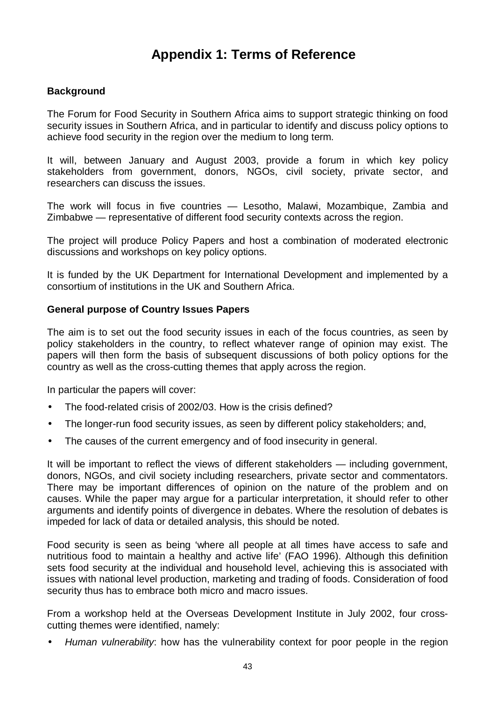# **Appendix 1: Terms of Reference**

#### **Background**

The Forum for Food Security in Southern Africa aims to support strategic thinking on food security issues in Southern Africa, and in particular to identify and discuss policy options to achieve food security in the region over the medium to long term.

It will, between January and August 2003, provide a forum in which key policy stakeholders from government, donors, NGOs, civil society, private sector, and researchers can discuss the issues.

The work will focus in five countries — Lesotho, Malawi, Mozambique, Zambia and Zimbabwe — representative of different food security contexts across the region.

The project will produce Policy Papers and host a combination of moderated electronic discussions and workshops on key policy options.

It is funded by the UK Department for International Development and implemented by a consortium of institutions in the UK and Southern Africa.

#### **General purpose of Country Issues Papers**

The aim is to set out the food security issues in each of the focus countries, as seen by policy stakeholders in the country, to reflect whatever range of opinion may exist. The papers will then form the basis of subsequent discussions of both policy options for the country as well as the cross-cutting themes that apply across the region.

In particular the papers will cover:

- The food-related crisis of 2002/03. How is the crisis defined?
- The longer-run food security issues, as seen by different policy stakeholders; and,
- The causes of the current emergency and of food insecurity in general.

It will be important to reflect the views of different stakeholders — including government, donors, NGOs, and civil society including researchers, private sector and commentators. There may be important differences of opinion on the nature of the problem and on causes. While the paper may argue for a particular interpretation, it should refer to other arguments and identify points of divergence in debates. Where the resolution of debates is impeded for lack of data or detailed analysis, this should be noted.

Food security is seen as being 'where all people at all times have access to safe and nutritious food to maintain a healthy and active life' (FAO 1996). Although this definition sets food security at the individual and household level, achieving this is associated with issues with national level production, marketing and trading of foods. Consideration of food security thus has to embrace both micro and macro issues.

From a workshop held at the Overseas Development Institute in July 2002, four crosscutting themes were identified, namely:

• *Human vulnerability*: how has the vulnerability context for poor people in the region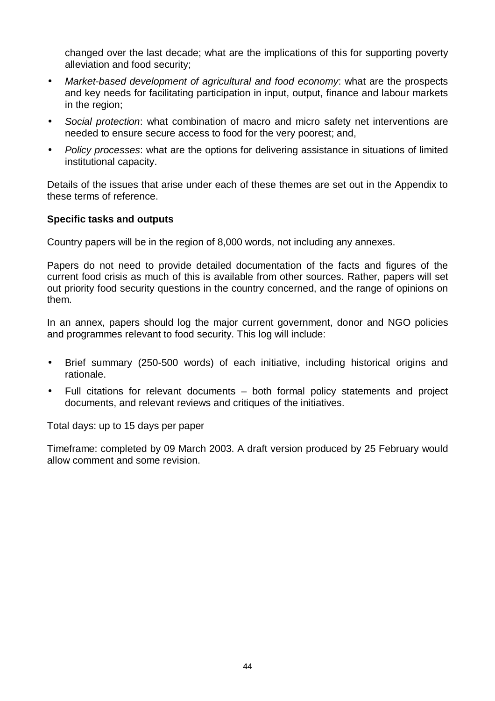changed over the last decade; what are the implications of this for supporting poverty alleviation and food security;

- *Market-based development of agricultural and food economy*: what are the prospects and key needs for facilitating participation in input, output, finance and labour markets in the region;
- *Social protection*: what combination of macro and micro safety net interventions are needed to ensure secure access to food for the very poorest; and,
- *Policy processes*: what are the options for delivering assistance in situations of limited institutional capacity.

Details of the issues that arise under each of these themes are set out in the Appendix to these terms of reference.

#### **Specific tasks and outputs**

Country papers will be in the region of 8,000 words, not including any annexes.

Papers do not need to provide detailed documentation of the facts and figures of the current food crisis as much of this is available from other sources. Rather, papers will set out priority food security questions in the country concerned, and the range of opinions on them.

In an annex, papers should log the major current government, donor and NGO policies and programmes relevant to food security. This log will include:

- Brief summary (250-500 words) of each initiative, including historical origins and rationale.
- Full citations for relevant documents both formal policy statements and project documents, and relevant reviews and critiques of the initiatives.

Total days: up to 15 days per paper

Timeframe: completed by 09 March 2003. A draft version produced by 25 February would allow comment and some revision.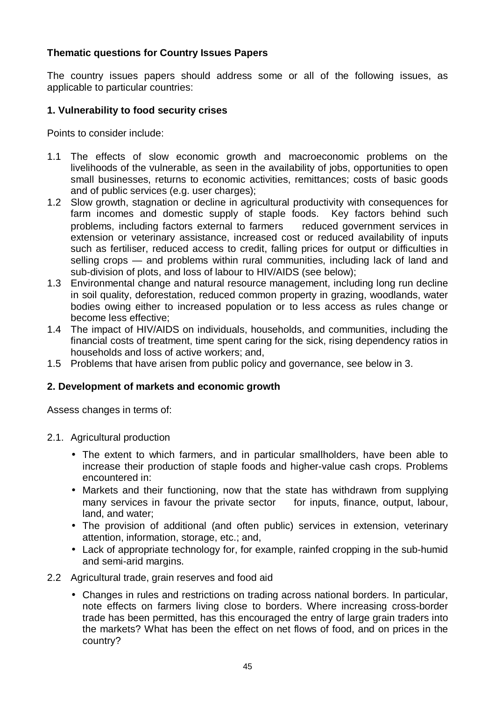#### **Thematic questions for Country Issues Papers**

The country issues papers should address some or all of the following issues, as applicable to particular countries:

#### **1. Vulnerability to food security crises**

Points to consider include:

- 1.1 The effects of slow economic growth and macroeconomic problems on the livelihoods of the vulnerable, as seen in the availability of jobs, opportunities to open small businesses, returns to economic activities, remittances; costs of basic goods and of public services (e.g. user charges);
- 1.2 Slow growth, stagnation or decline in agricultural productivity with consequences for farm incomes and domestic supply of staple foods. Key factors behind such problems, including factors external to farmers – reduced government services in extension or veterinary assistance, increased cost or reduced availability of inputs such as fertiliser, reduced access to credit, falling prices for output or difficulties in selling crops — and problems within rural communities, including lack of land and sub-division of plots, and loss of labour to HIV/AIDS (see below);
- 1.3 Environmental change and natural resource management, including long run decline in soil quality, deforestation, reduced common property in grazing, woodlands, water bodies owing either to increased population or to less access as rules change or become less effective;
- 1.4 The impact of HIV/AIDS on individuals, households, and communities, including the financial costs of treatment, time spent caring for the sick, rising dependency ratios in households and loss of active workers; and,
- 1.5 Problems that have arisen from public policy and governance, see below in 3.

#### **2. Development of markets and economic growth**

Assess changes in terms of:

- 2.1. Agricultural production
	- The extent to which farmers, and in particular smallholders, have been able to increase their production of staple foods and higher-value cash crops. Problems encountered in:
	- Markets and their functioning, now that the state has withdrawn from supplying many services in favour the private sector  $-$  for inputs, finance, output, labour, land, and water;
	- The provision of additional (and often public) services in extension, veterinary attention, information, storage, etc.; and,
	- Lack of appropriate technology for, for example, rainfed cropping in the sub-humid and semi-arid margins.
- 2.2 Agricultural trade, grain reserves and food aid
	- Changes in rules and restrictions on trading across national borders. In particular, note effects on farmers living close to borders. Where increasing cross-border trade has been permitted, has this encouraged the entry of large grain traders into the markets? What has been the effect on net flows of food, and on prices in the country?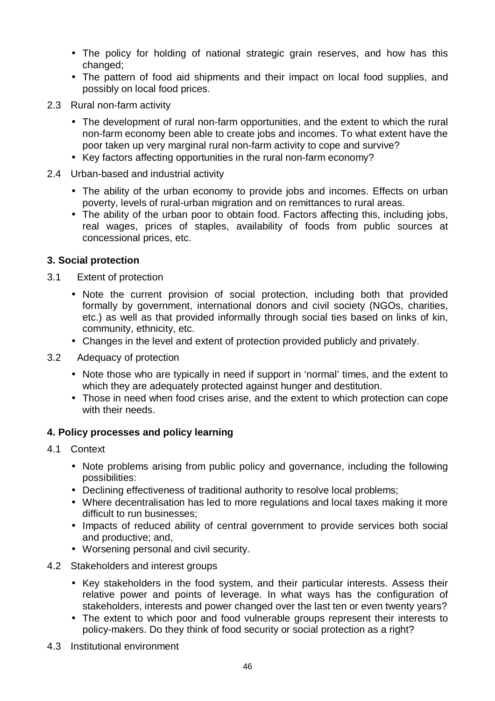- The policy for holding of national strategic grain reserves, and how has this changed;
- The pattern of food aid shipments and their impact on local food supplies, and possibly on local food prices.
- 2.3 Rural non-farm activity
	- The development of rural non-farm opportunities, and the extent to which the rural non-farm economy been able to create jobs and incomes. To what extent have the poor taken up very marginal rural non-farm activity to cope and survive?
	- Key factors affecting opportunities in the rural non-farm economy?
- 2.4 Urban-based and industrial activity
	- The ability of the urban economy to provide jobs and incomes. Effects on urban poverty, levels of rural-urban migration and on remittances to rural areas.
	- The ability of the urban poor to obtain food. Factors affecting this, including jobs, real wages, prices of staples, availability of foods from public sources at concessional prices, etc.

#### **3. Social protection**

- 3.1 Extent of protection
	- Note the current provision of social protection, including both that provided formally by government, international donors and civil society (NGOs, charities, etc.) as well as that provided informally through social ties based on links of kin, community, ethnicity, etc.
	- Changes in the level and extent of protection provided publicly and privately.
- 3.2 Adequacy of protection
	- Note those who are typically in need if support in 'normal' times, and the extent to which they are adequately protected against hunger and destitution.
	- Those in need when food crises arise, and the extent to which protection can cope with their needs.

#### **4. Policy processes and policy learning**

- 4.1 Context
	- Note problems arising from public policy and governance, including the following possibilities:
	- Declining effectiveness of traditional authority to resolve local problems;
	- Where decentralisation has led to more regulations and local taxes making it more difficult to run businesses;
	- Impacts of reduced ability of central government to provide services both social and productive; and,
	- Worsening personal and civil security.
- 4.2 Stakeholders and interest groups
	- Key stakeholders in the food system, and their particular interests. Assess their relative power and points of leverage. In what ways has the configuration of stakeholders, interests and power changed over the last ten or even twenty years?
	- The extent to which poor and food vulnerable groups represent their interests to policy-makers. Do they think of food security or social protection as a right?
- 4.3 Institutional environment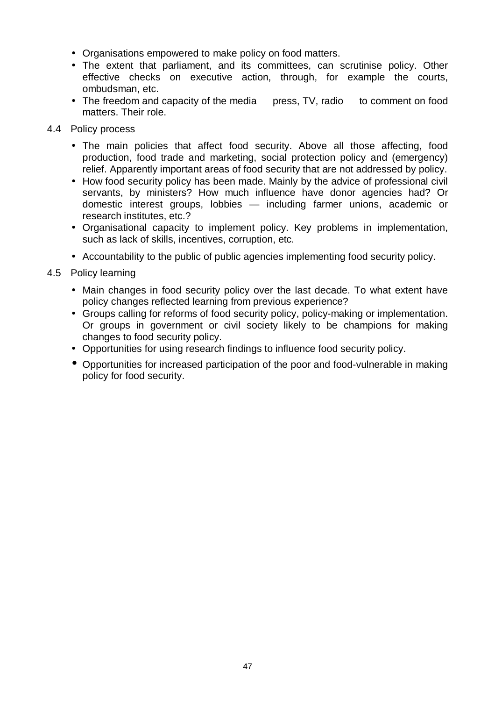- Organisations empowered to make policy on food matters.
- The extent that parliament, and its committees, can scrutinise policy. Other effective checks on executive action, through, for example the courts, ombudsman, etc.
- The freedom and capacity of the media  $-$  press, TV, radio  $-$  to comment on food matters. Their role.

#### 4.4 Policy process

- The main policies that affect food security. Above all those affecting, food production, food trade and marketing, social protection policy and (emergency) relief. Apparently important areas of food security that are not addressed by policy.
- How food security policy has been made. Mainly by the advice of professional civil servants, by ministers? How much influence have donor agencies had? Or domestic interest groups, lobbies — including farmer unions, academic or research institutes, etc.?
- Organisational capacity to implement policy. Key problems in implementation, such as lack of skills, incentives, corruption, etc.
- Accountability to the public of public agencies implementing food security policy.
- 4.5 Policy learning
	- Main changes in food security policy over the last decade. To what extent have policy changes reflected learning from previous experience?
	- Groups calling for reforms of food security policy, policy-making or implementation. Or groups in government or civil society likely to be champions for making changes to food security policy.
	- Opportunities for using research findings to influence food security policy.
	- Opportunities for increased participation of the poor and food-vulnerable in making policy for food security.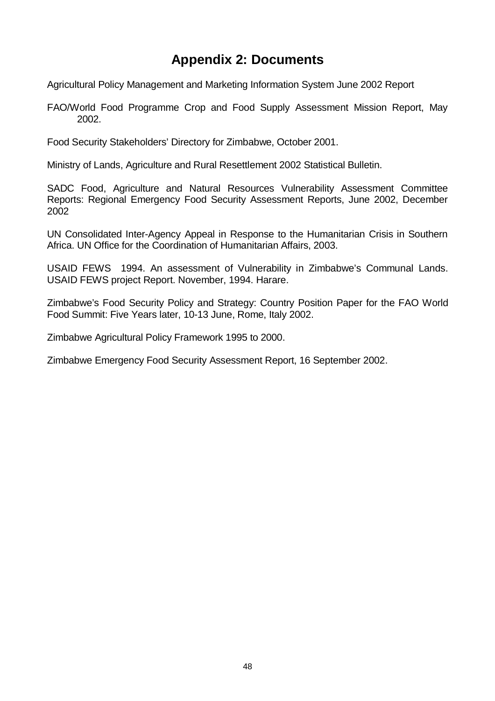# **Appendix 2: Documents**

Agricultural Policy Management and Marketing Information System June 2002 Report

FAO/World Food Programme Crop and Food Supply Assessment Mission Report, May 2002.

Food Security Stakeholders' Directory for Zimbabwe, October 2001.

Ministry of Lands, Agriculture and Rural Resettlement 2002 Statistical Bulletin.

SADC Food, Agriculture and Natural Resources Vulnerability Assessment Committee Reports: Regional Emergency Food Security Assessment Reports, June 2002, December 2002

UN Consolidated Inter-Agency Appeal in Response to the Humanitarian Crisis in Southern Africa. UN Office for the Coordination of Humanitarian Affairs, 2003.

USAID FEWS 1994. An assessment of Vulnerability in Zimbabwe's Communal Lands. USAID FEWS project Report. November, 1994. Harare.

Zimbabwe's Food Security Policy and Strategy: Country Position Paper for the FAO World Food Summit: Five Years later, 10-13 June, Rome, Italy 2002.

Zimbabwe Agricultural Policy Framework 1995 to 2000.

Zimbabwe Emergency Food Security Assessment Report, 16 September 2002.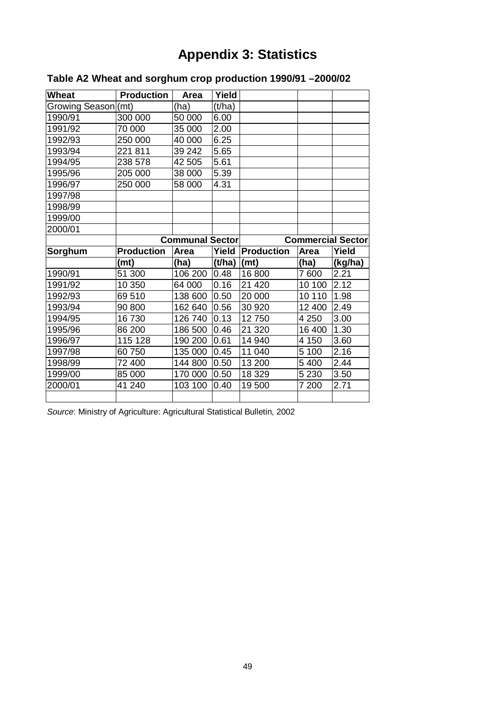# **Appendix 3: Statistics**

| <b>Wheat</b>        | <b>Production</b> | Area                   | Yield  |                          |         |         |  |
|---------------------|-------------------|------------------------|--------|--------------------------|---------|---------|--|
| Growing Season((mt) |                   | (ha)                   | (t/ha) |                          |         |         |  |
| 1990/91             | 300 000           | 50 000                 | 6.00   |                          |         |         |  |
| 1991/92             | 70 000            | 35 000                 | 2.00   |                          |         |         |  |
| 1992/93             | 250 000           | 40 000                 | 6.25   |                          |         |         |  |
| 1993/94             | 221 811           | 39 242                 | 5.65   |                          |         |         |  |
| 1994/95             | 238 578           | 42 505                 | 5.61   |                          |         |         |  |
| 1995/96             | 205 000           | 38 000                 | 5.39   |                          |         |         |  |
| 1996/97             | 250 000           | 58 000                 | 4.31   |                          |         |         |  |
| 1997/98             |                   |                        |        |                          |         |         |  |
| 1998/99             |                   |                        |        |                          |         |         |  |
| 1999/00             |                   |                        |        |                          |         |         |  |
| 2000/01             |                   |                        |        |                          |         |         |  |
|                     |                   | <b>Communal Sector</b> |        | <b>Commercial Sector</b> |         |         |  |
|                     |                   |                        |        |                          |         |         |  |
| Sorghum             | <b>Production</b> | Area                   | Yield  | <b>Production</b>        | Area    | Yield   |  |
|                     | (mt)              | (ha)                   | (t/ha) | (mt)                     | (ha)    | (kg/ha) |  |
| 1990/91             | 51 300            | 106 200                | 0.48   | 16 800                   | 7 600   | 2.21    |  |
| 1991/92             | 10 350            | 64 000                 | 0.16   | 21 4 20                  | 10 100  | 2.12    |  |
| 1992/93             | 69510             | 138 600                | 0.50   | 20 000                   | 10 110  | 1.98    |  |
| 1993/94             | 90 800            | 162 640                | 0.56   | 30 920                   | 12 400  | 2.49    |  |
| 1994/95             | 16730             | 126 740                | 0.13   | 12750                    | 4 2 5 0 | 3.00    |  |
| 1995/96             | 86 200            | 186 500                | 0.46   | 21 3 20                  | 16 400  | 1.30    |  |
| 1996/97             | 115 128           | 190 200                | 0.61   | 14 940                   | 4 150   | 3.60    |  |
| 1997/98             | 60750             | 135 000                | 0.45   | 11 040                   | 5 100   | 2.16    |  |
| 1998/99             | 72 400            | 144 800                | 0.50   | 13 200                   | 5 4 0 0 | 2.44    |  |
| 1999/00             | 85 000            | 170 000                | 0.50   | 18 329                   | 5 2 3 0 | 3.50    |  |
| 2000/01             | 41 240            | 103 100                | 0.40   | 19500                    | 7 200   | 2.71    |  |

## **Table A2 Wheat and sorghum crop production 1990/91 –2000/02**

*Source*: Ministry of Agriculture: Agricultural Statistical Bulletin, 2002